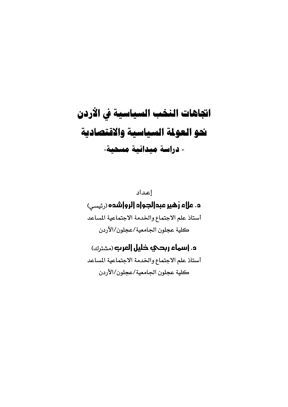إعداد د. علاء زهير عبدالجواد الرواشده (رئيسي) أستاذ علم الاجتماع والخدمة الاجتماعية المساعد كلية عجلون الجامعية/عجلون/الأردن

د. إسهاء ربدي ذليل المرب (مشترك) أستاذ علم الاجتماع والخدمة الاجتماعية المساعد كلية عجلون الجامعية/عجلون/الأردن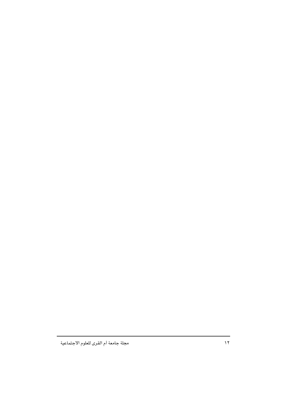مجلة جامعة أم القرى للعلوم الاجتماعية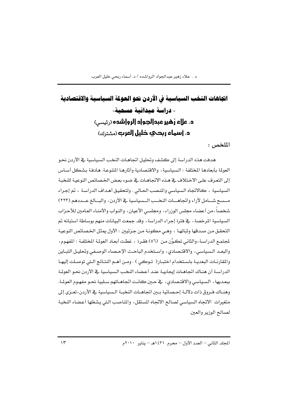## اتحاهات النخب السياسية في الأردن نحو العولمة السياسية والاقتصادية - دراسة مىدانىة مسحىة-د. علاء زهير عبدالجواد الرواشده (رئيسي) د. أسهاء ربدي ذليل المرب (مشترك)

#### الملخص :

هدفت هذه الدراسة إلى كشف وتحليل اتجاهـات النخب السياسية في الأردن نحـو العولم بأبعادها المختلفة : السياسية، والاقتصادية وآثارهـا المتوعـة. هادفـة بـشكل أسـاس إلى التعرف على الاختلاف في هـذه الاتجاهـات في ضوء بعض الخـصائص النوعيـة للنخبـة السياسية ، كالاتجاه السياسي والمنصب الحالي . ولتحقيق أهداف الدراسة ، تم إجراء مسسح شــامل لأراء واتجاهـــات النخــب الــسياسية في الأردن، والبـــالغ عــددهم (٢٢٣) شخصاً ،من أعضاء مجلس الوزراء ، ومجلسي الأعيان ، والنـواب والأمنـاء العـامـن للأحـزاب السياسية المرخصة، في فترة إجراء الدراسة، وقد جمعت البيانات منهم بوساطة استبانه تم التحقـق مـن صـدـقها وثباتهـا ، وهـي مكونـة مـن جـزئيـين : الأول يمثـل الخـصـائص النوعيـة لمجتمع الدراسـة،والثاني تكوَّن مـن (٥٦) فقـرة ، غطت أبعـاد العولمة المختلفـة : المفهـوم، والبعد السياسي، والاقتصادي، واستخدم الباحث الإحصاء الوصفي وتحليل التبـاين والمقارنـات البعديـة باسـتخدام اختبـار( تـوكـي ) . ومـن أهـم النتـائج الـتي توصـلت إليهـا الدراسـة أن هنـاك اتجاهـات إيجابيـة عنـد أعـضاء النخب الـسياسية ـ2 الأردن نحـو العولمة ببعديها ، السياسي والاقتصادي، في حين كانت اتجاهـاتهم سـلبية نحـو مفهـوم العولـة. وهنـاك فـروق ذات دلالـة إحـصائية بـين اتجاهـات النخبـة الـسياسية في الأردن، تعـزى إلى متغيرات الاتجاه السياسي لصالح الاتجاه المستقل، والمناصب التي يشغلها أعضاء النخبة لصالح الوزير والعين.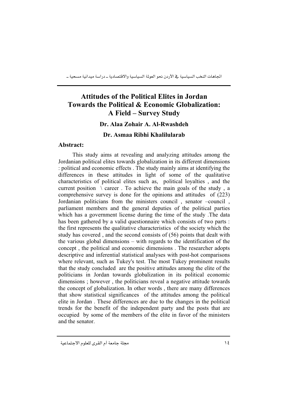### **Attitudes of the Political Elites in Jordan Towards the Political & Economic Globalization: A Field – Survey Study**

#### **Dr. Alaa Zohair A. Al-Rwashdeh**

#### **Dr. Asmaa Ribhi Khalilularab**

#### **:Abstract**

This study aims at revealing and analyzing attitudes among the Jordanian political elites towards globalization in its different dimensions the identifying the individual and economic effects. The study mainly aims at identifying the differences in these attitudes in light of some of the qualitative characteristics of political elites such as, political loyalties, and the current position  $\setminus$  career. To achieve the main goals of the study, a comprehensive survey is done for the opinions and attitudes of  $(223)$ Jordanian politicians from the ministers council, senator -council, parliament members and the general deputies of the political parties which has a government license during the time of the study. The data has been gathered by a valid questionnaire which consists of two parts : the first represents the qualitative characteristics of the society which the study has covered, and the second consists of  $(56)$  points that dealt with the various global dimensions – with regards to the identification of the concept, the political and economic dimensions. The researcher adopts descriptive and inferential statistical analyses with post-hot comparisons where relevant, such as Tukey's test. The most Tukey prominent results that the study concluded are the positive attitudes among the elite of the politicians in Jordan towards globalization in its political economic dimensions; however, the politicians reveal a negative attitude towards the concept of globalization. In other words, there are many differences that show statistical significances of the attitudes among the political elite in Jordan. These differences are due to the changes in the political trends for the benefit of the independent party and the posts that are occupied by some of the members of the elite in favor of the ministers and the senator

<sup>.1</sup>«Ñ BU§¾Ñ ÁC ºA³Ój º»§»ÁË NUÛA¿B¦ÑÍ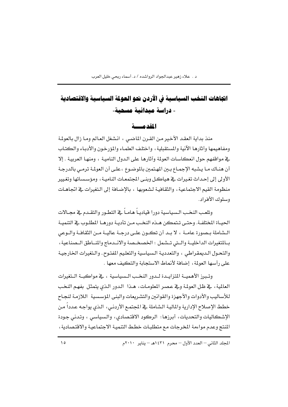#### المقدمسسة

منذ بداية العقد الأخير من القرن الماضي ، انشغل العالم وما زال بالعولمة ومفاهيمها وآثارها الآنية والمستقبلية، واختلف العلمـاء والمؤرخون والأدبـاء والكتـاب يخ مواقفهم حول انعكاسات العولمة وآثارها على الدول النامية ، ومنهـا العربيـة . إلا أن هنـاك مـا يـشبه الإجمـاع بـين المهـتمين بالموضـوع ، علـي أن العولمة ترمـي بالدرجـة الأولى إلى إحداث تغيرات في هياكل وبنبي المجتمعيات الناميية ، ومؤسساتها وتغيير منظومة القيم الاجتماعية، والثقافية لشعوبها ، بالإضافة إلى التغيرات في اتجاهـات وسلوك الأفراد.

وتلعب النخب السياسية دورا فياديـاً هامـاً في التطـور والتقـدم في مجـالات الحيـاة المختلفــة. وحتــى تـتمكن هــذه النخـب مــن تأديــة دورهــا المطلـوب في التنميــة الـشاملة بـصورة عامــة ، لا بــد أن تكــون علــى درجــة عاليــة مــن الثقافــة والــوعـى بـالمتغيرات الداخليــة والــتى تــشمل : الخصخـصة والانــدماج والمنــاطق الــصناعية ، والتحول الـديمقراطي ، والتعدديـة الـسياسية والتعليم المفتوح.. والـتغيرات الخارجيـة على رأسها العولمة، إضافة لأنماط الاستجابة والتكيف معها .

وتـبرز الأهميــة المتزايــدة لــدور النخـب الــسياسية ، \_في مواكبــة الــتغيرات العالمية، في ظل العولمة وفي عصر المعلومات، هـذا الـدور الـذي يتمثل بفهم النخب للأساليب والأدوات والأجهزة والقوانين والتشريعات والبنى المؤسسية اللازمة لنجاح خطط الإصلاح الإدارية والمالية الشاملة في المجتمع الأردنى، الـذي يواجـه عـدداً مـن الإشكاليات والتحديات، أبرزها: الركود الاقتصادى، والسياسى ، وتدنى جودة المنتج وعدم مواءمة المخرجات مع متطلبات خطط التنمية الاجتماعية والاقتصادية ،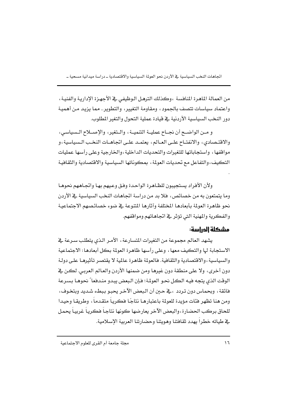من العمالة الماهرة المناهسة ،وكذلك الترهل الوظيفي في الأجهـزة الاداريـة والفنيـة، واعتماد سياسات تتصف بالجمود ، ومقاومة التغيير ، والتطوير .. مما يزيد من أهمية دور النخب السياسية الأردنية في قيادة عملية التحول والتغير المطلوب.

و مـن الواضـح أن نجــاح عمليــة التنميــة، والـتغير، والإصــلاح الـسياسي، والاقتـصادي، والانفتـاح علـي العـالم، يعتمـد علـي اتجاهـات النخـب الـسياسية،و مواقفها ، واستجاباتها للتغيرات والتحديات الداخلية ،والخارجية وعلى رأسها عمليات التكيف،والتفاعل مع تحديات العولمة، بمكوناتها السياسية والاقتصادية والثقافية

ولأن الأفراد يستجيبون للظـاهـرة الواحـدة وفـق وعيهم بهـا واتجـاههم نحوهـا وما يتمتعون به من خصائص، فلا بد من دراسة اتجاهات النخب السياسية في الأردن نحو ظاهرة العولم بأبعادها المختلفة وآثارها المتوعة في ضوء خصائصهم الاجتماعية والفكرية والمهنية التي تؤثر في اتجاهاتهم ومواففهم.

#### مشكلة المراسة:

يشهد العالم مجموعة من التغيرات المتسارعة ، الأمـر الـذي يتطلب سـرعة \_في الاستجابة لها والتكيف معها ، وعلى رأسها ظاهرة العولمة بكل أبعادها : الاجتماعية والسياسية،والافتصادية والثقافية. فالعولمة ظاهرة عالمية لا يقتصر تأثيرهـا على دولـة دون أخرى، ولا على منطقة دون غيرها ومن ضمنها الأردن والعـالم العربـي. لكـن في الوقت الذي يتجه فيه الكل نحو العولمة؛ فإن البعض يبدو مندفعا ً نحوهـا بسرعة فائقة، وبحماس دون تردد ،ڤي حـن أن الـبعض الآخـر يحبـو بـبطء شـديد وبتخـوف، ومن هنا تظهر فئات مؤيدة للعولة باعتبارهـا نتاجَا فكريـاً متقـدماً ، وطريقـا وحيـدا للحاق بركب الحضارة،والبعض الآخر يعارضها كونها نتاجاً فكرياً غربياً يحمل يخ طياته خطراً يهدد ثقافتنا وهويتنا وحضارتنا العربية الإسلامية.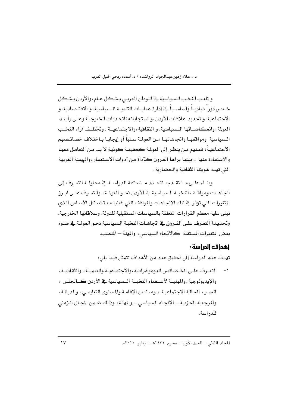و تلعب النخب السياسية في البوطن العربي بشكل عـام،والأردن بـشكل خياص دوراً قياديباً وأساسيباً فے إدارة عمليات التنمية اليسياسية،و الاقتىصادية،و الاجتماعية،و تحديد علاقات الأردن،و استجاباته للتحديات الخارجية وعلى رأسها العولمة ، وانعكاســاتها الــسياسية ، و الثقافية ، والاجتماعيــة . وتختلــف آراء النخــب السياسية ومواقفهـا واتجاهاتهـا مـن العولمة سـلباً أو إيجابـا بـاختلاف خصائـصهم الاجتماعيـةُ؛ فمنهم مـن ينظـر إلى العولمة كحقيقـة كونيـة لا بـد مـن التعامـل معهـا والاستفادة منها ، بينما يراها آخرون كأداة من أدوات الاستعمار،والهيمنة الغربية التي تهدد هويتنا الثقافية والحضارية .

وبنــاء علــي مــا تقــدم، تتحــدد مــشكلة الدراســة في محاولــة التعــرف إلى اتجاهــات ومواقــف النخيــة الــسياسية ــفي الأردن نحــو العولمـة ، والتعــرف علــي ابــرز المتغيرات التي تؤثر في تلك الاتجاهات والمواقف التي غالبا مـا تشكل الأسـاس الـذي تبني عليه معظم القرارات المتعلقة بالسياسات المستقبلية للدولة ،وعلاقاتها الخارجية. وتحديدا التعـرف علـى الفـروق ية اتجاهـات النخبـة الـسياسية نحـو العولمة ية ضـوء بعض المتغيرات المستقلة كالاتجاه السياسي، والمهنة – المنصب.

#### أهداف الدراسة :

تهدف هذه الدراسة إلى تحقيق عدد من الأهداف تتمثل فيما يلي:

التعبرف علـى الخـصائص الديموغرافية،والاجتماعيـة والعلميـة، والثقافيـة،  $-1$ والإيديولوجية ، والمهنيـــة لأعــضاء النخبـــة الــسياسية ــفي الأردن كـــالجنس ، العمـر، الحالـة الاجتماعيـة ، ومكـان الإقامـة والمستوى التعليمـي، والديانـة، والمرجعية الحزبية ــ الاتجـاه السياسـي ــ والمهنـة ، وذلك ضـمن المجـال الـزمني للدراسة.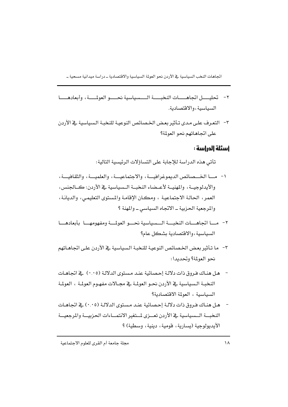- ٢- تحليـــــل اتجاهـــــات النخبـــــة الــــسياسية نحـــــو العولمــــة ، وأبعادهـــــا السياسية، والاقتصادية.
- ٣- التعـرف علـى مـدى تـأثير بعـض الخـصائص النوعيـة للنخبـة الـسياسية ـ2ْ الأردن على اتجاهاتهم نحو العولمة؟

#### أسئلة إلەراسة :

تأتي هذه الدراسة للإجابة على التساؤلات الرئيسية التالية:

- ١- [مسا الخـــصائص الديموغرافيـــة، والاجتماعيـــة، والعلميـــة، والثقافيـــة، والأيدلوجيـــة ، والمهنيـــة لأعــضاء النخبـــة الــسياسية ــفئ الأردن: كـــالجنس ، العمر، الحالة الاجتماعية ، ومكان الإقامة والمستوى التعليمي، والديانة، والمرجعية الحزبية ـ الاتجاه السياسى ـ والمهنة ؟
- ٢- مسا اتجاهسات النخبسة السسياسية نحسو العولمية ومفهومهسا بأبعادهسا السياسية، والاقتصادية بشكل عام؟
- ٣- ما تـأثير بعض الخصائص النوعيـة للنخبـة السياسية ـ2 الأردن علـى اتجاهـاتهم نحو العولمة؟ وتحديدا:
- هـل هنـاك فـروق ذات دلالـة إحـصائية عنـد مستوى الدلالـة (٠,٠٥) ـفي اتجاهـات النخبة السياسية في الأردن نحو العولمة في مجـالات مفهـوم العولمة ، العولمة السياسية ، العولمة الاقتصادية؟
- هـل هنـاك فـروق ذات دلالـة إحـصـائية عنـد مـستوى الدلالـة (٠,٠٥) \_في اتجـاهـات النخبسة السسياسية في الأردن تعسري لمستغير الانتمساءات الحزبيسة والمرجعيسة الأبديولوجية (بسارية، قومية، دينية، وسطية) ؟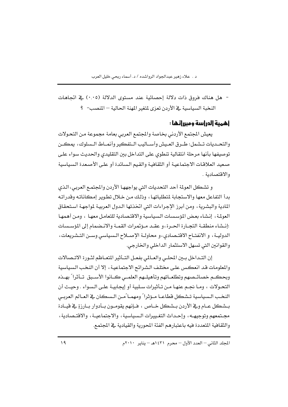- هل هناك فروق ذات دلالة إحصائية عند مستوى الدلالة (٠,٠٥) في اتجاهات النخبة السياسية في الأردن تعزي لمتغير المهنة الحالية — المنصب- ﴿

#### أهمية الدراسة ومبررانها :

يعيش المجتمع الأردني بخاصة والمجتمع العربي بعامة مجموعة من التحولات والتحـديات تـشمل: طـرق العـيش وأســاليب الـتفكير وأنمــاط الـسلوك، يمكــن توصيفها بأنها مرحلة انتقالية تنطوي على التداخل بين التقليدي والحديث سواء على صعيد العلاقات الاجتماعية أو الثقافية والقيم السائدة أو على الأصعدة السياسية والاقتصادية .

و تشكل العولم أحد التحديات التي يواجههـا الأردن والمجتمـع العربي، الـذي بدأ التفاعل معها والاستجابة لمتطلباتها ، وذلك من خلال تطوير إمكاناته وقدراته المادية والبشرية ، ومن أبرز الإجراءات التي اتخذتها الدول العربية لمواجهة استحقاق العولمة، إنشاء بعض المؤسسات السياسية والاقتصادية للتعامل معها ، ومن أهمها :إنشاء منطقية التجبارة الحيرة،و عقيد مؤتمرات القمية والانتضمام إلى المؤسسات الدوليـة، و الانفتـاح الافتـصادي،و محاولـة الإصـلاح الـسياسي وسـن التـشريعات، والقوانين التي تسهل الاستثمار الداخلي والخارجي.

إن التـداخل بـين المحلـي والعـالمي بفعـل التـأثير المتعـاظم لثـورة الاتـصالات والمعلومات قد انعكس على مختلف الشرائح الاجتماعية، إلا أن النخب السياسية وبحكـم خصائـصهم وتطلعــاتهم وتأهيلــهم العلمــي كــانوا الأســبق تــأثرا ً بهــذه التحـولات ، ومـا نجـم عنهـا مـن تـأثيرات سـلبية أو إيجابيـة علـى الـسواء . وحيـث أن النخب الـسياسية تـشكل فطاعـا مـؤثرا ً ومهمـا ًمـن الـسكان ﴾ العـالم العربـي بـشكل عــام ويــفـ الأردن بــشكل خــاص ، فــإنهم يقومــون بــأدوار بــارزةٍ ــفي فيــادة مجـتمعهم وتوجيهــه، وإحـداث التغـيبرات الـسياسية، والاجتماعيــة، والاقتـصادية، والثقافية المتعددة فيه باعتبارهم الفئة المحورية والقيادية في المجتمع.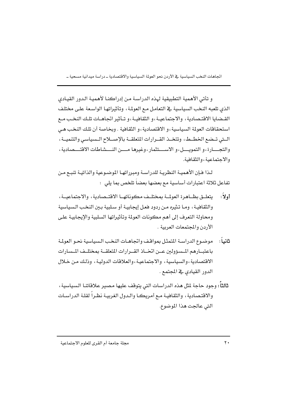و تأتي الأهمية التطبيقية لهذه الدراسة من إدراكنـا لأهميـة الـدور القيـادي الذي تلعبه النخب السياسية في التعامل مـع العولمة ، وتأشراتهـا الواسـعة علـى مختلف القـضايا الاقتـصادية ، والاجتماعيـة ،و الثقافيـة ،و تـأثير اتجاهـات تلـك النخـب مـع استحقاقات العولمة السياسية،و الاقتصادية،و الثقافية . وبخاصة أن تلك النخب هي التي تـضع الخطـط، وتتخـذ القـرارات المتعلقـة بالإصــلاح الـسياسي والتنميــة، والتجـــارة،و التمويــــل،و الاســــتثمار،وغيرهـا مــــن النــــشاطات الاقتـــصادية، والاحتماعية،والثقافية.

لـذا فـإن الأهميـة النظريـة للدراسـة ومبرراتهـا الموضـوعية والذاتيـة تنبـع مـن تفاعل ثلاثة اعتبارات أساسية مع بعضها بعضاً تلخص بما يلي :

- يتعلــق بظــاهـرة العولمــة بمختلــف مكوناتهــا الاقتــصادية ، والاجتماعيــة ، أولاً : والثقافية، وما تثيره من ردود فعل إيجابية أو سلبية بـين النخب السياسية ومحاولة التعرف إلى أهم مكونات العولة وتأثيراتها السلبية والإيجابية على الأردن والمجتمعات العربية .
- **ثانياً**: موضوع الدراسة المتمثل بمواقف واتجاهـات النخب السياسية نحـو العولمة باعتبــارهم المــسؤولين عــن اتخــاذ القــرارات المتعلقــة بمختلــف المــسارات الاقتصادية،والسياسية، والاجتماعية،والعلاقات الدولية، وذلك من خلال الدور القيادي في المجتمع .
- **ثالثاً:** وجود حاجة لمثل هذه الدراسات التي يتوقف عليها مصير علاقاتنـا السياسية ، والاقتصادية ، والثقافيـة مـع أمريكـا والـدول الغربيـة نظـراً لقلـة الدراسـات التي عالجت هذا الموضوع.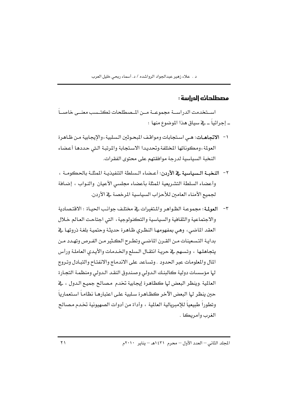#### مصطلحانه الوراسة :

استخدمت الدراسية مجموعية مين المصطلحات تكتسب معنيي خاصيا ـ إجرائياً ـ \_ في سياق هذا الموضوع منها :

- ١- الاتجاهـات: هـي اسـتجابات ومواقـف المبحـوثين الـسلبية ، والإيجابية مـن ظـاهـرة العولم ،ومكوناتها المختلفة وتحديدا الاستجابة والمرتبة التي حددها أعضاء النخبة السياسية لدرجة موافقتهم على محتوى الفقرات.
- ٢- النخسة السياسية في الأردن: أعـضاء السلطة التنفيذيـة المثلـة بالحكومـة ، وأعضاء السلطة التشريعية المثلة بأعضاء مجلسي الأعيان والنواب ، إضافة لجميع الأمناء العامين للأحزاب السياسية المرخصة في الأردن.
- ٣- العولمة: مجموعـة الظـواهـر والمتغيرات في مختلـف جوانب الحيـاة : الاقتـصادية والاجتماعية والثقافية والسياسية والتكنولوجية ، التي اجتاحت العالم خلال العقد الماضي، وهي بمفهومهـا النظـري ظـاهـرة حديثـة وحتميـة بلغـة ذروتهـا في بداية التسعينات من القرن الماضى وتطرح الكثير من الفرص وتهدد من يتجاهلها ، وتسهم في حرية انتقـال الـسلع والخـدمات والأيـدي العاملـة ورأس المال والمعلومات عبر الحدود . وتساعد على الاندماج والانفتاح والتبادل وتروج لها مؤسسات دولية كالبنك الدولى وصندوق النقد الدولي ومنظمة التجارة العالمية .وينظر البعض لها كظاهرة إيجابية تخدم مصالح جميع الدول ، في حبن ينظر لها البعض الآخر كظـاهـرة سـلبية علـى اعتبارهـا نظامـاً اسـتعمارياً وتطوراً طبيعياً للإمبريالية العالمية ، وأداة من أدوات الصهيونية تخدم مصالح الغرب وأمريكا .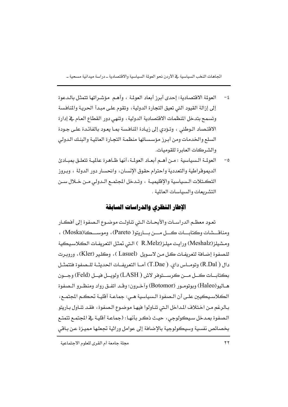- العولمة الاقتصادية: إحدى أبرز أبعاد العولمة ، وأهـم مؤشـراتها تتمثل بالـدعوة  $-\xi$ إلى إزالة القيود التي تعيق التجارة الدولية، وتقوم على مبدأ الحرية والمناهسة وتسمح بتدخل المنظمات الافتصادية الدولية، وتنهى دور القطاع العـام يخ إدارة الاقتصاد الـوطني ، وتـؤدي إلى زيـادة المنافسة بمـا يعـود بالفائـدة علـي جـودة السلع والخدمات ومن أبرز مؤسساتها منظمة التجارة العالمية والبنك الدولي والشركات العابرة للقوميات.
- العولمة السياسية : مـن أهـم أبعـاد العولمة، أنها ظـاهـرة عالميـة تتعلـق بمبـادئ  $-\circ$ الديموقراطية والتعددية واحترام حقوق الإنسان، وانحسار دور الدولة ، وبروز التكتلات الـسياسية والإقليميــة ، وتـدخل المجتمــع الـدولي مــن خــلال ســن التشريعات والسياسات العالمية .

#### الإطار النظرى والدراسات السابقة

تعـود معظـم الدراسـات والأبحـاث الـتي تناولـت موضـوع الـصفوة إلى أفكـار ومنافشات وكتابات كل مــن بـاريتو( Pareto)، وموســكا(Moska) ، ومشيلز (Meshalz) ورايت ميلـز (R.Melz ) التي تمثل التعريفـات الكـلاسـيكية للصفوة إضافة لتعريفات كل من لاسـويل (Lasuel )، وكلير (Kler)، وروبـرت دال ( R.Dal) وتومــاس داي. ( T.Dae) أمــا التعريفــات الحديثــة للــصفوة فتتمثــل بكتابــات كـــل مـــن كرســـتوفر لاش ( LASH) ولويــل فيــل (Feld) وجــون هـاليو(Haleo) وبوتومـور (Botomor) وآخـرون؛ وقـد اتفـق رواد ومنظـرو الـصفوة الكلاسيكيين علـى أن الـصفوة الـسياسية هـى: جماعـة أقليـة تحكـم المجتمـع، بـالرغم مـن اختلاف المداخل الـتي تنـاولوا فيهـا موضـوع الـصفوة، فقـد تنـاول بـاريتو الصفوة بمدخل سيكولوجي، حيث ذكر بأنها: (جماعة أقلية في المجتمع تتمتع بخصائص نفسية وسيكولوجية بالإضافة إلى عوامل وراثية تجعلها مميزة عن باقى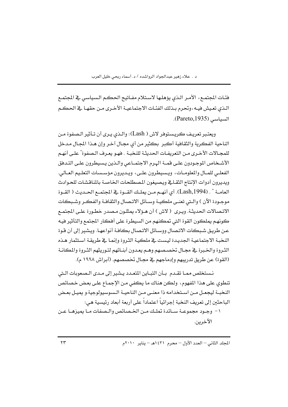فئـات المجتمـع، الأمـر الـذي يؤهلـها لاسـتلام مفـاتيح الحكـم الـسياسـي في المجتمـع الـذي تعـيش فيـه،وتحرم بـذلك الفئـات الاجتماعيـة الأخـري مـن حقهـا في الحكـم السياسي (Pareto,1935).

ويعتبر تعريف كريستوفر لاش ( Lash): والـذي يـري أن تـأثير الـصفوة مـن الناحية الفكرية والثقافية أكبر بكثير من أي مجال آخر وإن هـذا المجـال مـدخل للمجـالات الأخـري مـن التعريفـات الحديثـة للنخبـة . فهـو يعـرف الـصفوة" علـي أنهـم الأشخاص الموجودون على قمــة الهـرم الاجتمــاعي والـذين يـسيطرون علـي التـدفق الفعلـى للمـال والمعلومـات، ويـسيطرون علـى، ويـديرون مؤسـسات التعلـيم العـالي. ويديرون أدوات الانتاج الثقبية ويصيغون المصطلحات الخاصة بالمناقشات للحوادث العامــة " . (Lash,1994). أي أنهــم مــن يملــك القـــوة ــِج المجتمــع الحــديث ( القــوة موجـودة الآن ) والـتي تعنـى ملكيـة وسـائل الاتـصال والثقافـة والفكـر وشـبكات الاتصالات الحديثة. ويرى ( لاش ) أن هـؤلاء يمثلـون مـصدر خطـورة علـى المجتمـع كونهم بملكون القوة التي تمكنهم من السيطرة على أفكار المجتمع والتأثير فيه عن طريق شبكات الاتصال ووسائل الاتصال بكافة أنواعها. ويشير إلى أن قوة النخبة الاجتماعية الجديدة ليست فج ملكية الثروة وإنمـا فج طريقـة استثمار هـذه الثـروة والخـبرة يخ مجـال تخصـصهم وهـم يعـدون أبنــائهم لتـوريثهم الثـروة والمكـانـة (القوة) عن طريق تدريبهم وإدماجهم في مجـال تخصصهم. (أبراش ١٩٩٨ م).

نستخلص ممـا تقـدم بـأن التبـاين المتعـدد يـشير إلى مـدى الـصعوبات الـتى تنطوي على هذا المفهوم، ولكن هناك ما يكفي من الإجمـاع علـى بعض خصـائص النخبــة ليجعــل مــن اسـتخدامه ذا معنــى مــن الناحيــة الـسوسيولوجية.و يميـل بعـض الباحثين إلى تعريف النخبة إجرائياً اعتماداً على أربعة أبعاد رئيسية هي:

١- وجـود مجموعـة سـائدة تملـك مـن الخـصائص والـصفات مـا يميزهـا عـن الآخرين.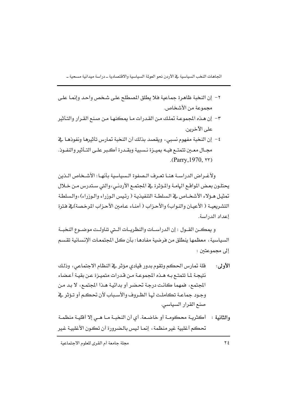- ٢– إن النخبة ظاهرة جماعية فلا يطلق المصطلح على شخص واحد وإنمـا علـي مجموعة من الأشخاص.
- ٣- إن هـذه المجموعـة تملك مـن القـدرات مـا يمكنهـا مـن صـنـع القـرار والتـأثير على الآخرين.
- ٤– إن النخبة مفهوم نسبي، ويقصد بذلك أن النخبة تمارس تأثيرها ونفوذهـا في مجـال معـين تتمتـع فيـه بميـزة نـسبية وبقـدرة أكـبر علـي التـأثير والنفـوذ.  $(Parrow, 1970, \tau)$

ولأغـراض الدراسـة هنـا تعـرف الـصفوة الـسياسية بأنهـا: الأشـخاص الـذين يحتلون بعض المواقع الهامة والمؤثرة في المجتمع الأردنبي، والتي ستدرس من خلال تمثيل هـؤلاء الأشخـاص في السلطـة التنفيذيـة ( رئيس الـوزراء والـوزراء)،والسلطـة التشريعيـة ( الأعيـان والنـواب) والأحـزاب ( أمنـاء عـامـن الأحـزاب المرخصة)\_في فـترة إعداد الدراسة.

و يمكــن القــول : إن الدراســات والنظريــات الــتي تناولــت موضــوع النخبــة السياسية ، معظمها ينطلق من فرضية مفادها : بأن كل المجتمعات الإنسانية تقسم إلى مجموعتين :

- الأولى: قلة تمارس الحكم وتقوم بدور فيادي مؤثر ية النظام الاجتماعي، وذلك نتيجة لما تتمتـع بـه هـذه المجموعـة مـن قـدرات متميـزة عـن بقيـة أعـضاء المجتمع، فمهما كانت درجة تحضر أو بدائية هـذا المجتمـع، لا بـد مـن وجـود جماعــة تكـاملـت لهـا الظـروف والأسـباب لأن تحكــم أو تـؤثر \_في صنع القرار السياسي.
- والثانية : أكثريـة محكومـة أو خاضـعة. أي أن النخبـة مـا هـي إلا أقليـة منظمـة تحكم أغلبية غير منظمة، إنمـا ليس بالـضرورة أن تكـون الأغلبيـة غير

مجلة جامعة أم القرى للعلوم الاجتماعية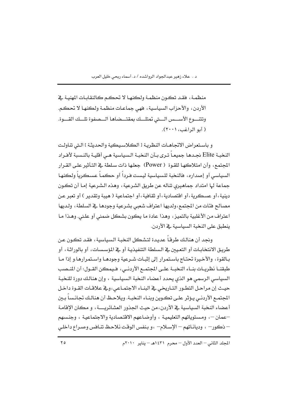منظمة، فقـد تكـون منظمـة ولكنهـا لا تحكـم كـالنقابـات المهنيـة في الأردن، والأحزاب السياسية، فهي جماعات منظمة ولكنها لا تحكم. وتتنسوع الأسسس الستي تمتلسك بمقتسضاها السصفوة تلسك القسوة. (أيو الراغب، ٢٠٠١).

و باستعراض الاتجاهـات النظريـة 1 الكـلاسـيكية والحديثـة ] الـتي تناولـت النخبـة Elite نجـدهـا جميعـاً تـرى بـأن النخبـة الـسياسية هـي أفليـة بالنـسبة لأفـراد المجتمع، وأن امتلاكها للقوة ( Power) جعلها ذات سلطة في التأثير على القرار السياسي أو إصداره، فالنخبة للسياسية ليست فرداً أو حكمـاً عسكرياً ولكنهـا جماعة لها امتداد جماهيري تناله عن طريق الشرعية، وهذه الشرعية إما أن تكون دينية ،أو عسكرية ،أو افتصادية ،أو ثقافية ،أو اجتماعية ( هيبة وتقدير ) أو تعبر عن مصالح فئات من المجتمع، ولديها اعتراف شعبي بشرعية وجودها في السلطة، ولديها اعتراف من الأغلبية بالتميز، وهذا عادة ما يكون بشكل ضمني أو علني. وهذا ما ينطبق على النخبة السياسية فے الأردن.

ونجد أن هنالك طرقاً عديدة لتشكل النخبة السياسية، فقد تكون عن طريق الانتخابـات أو التعـيين ـفي الـسلطة التنفيذيـة أو ـفي المؤسـسـات، أو بالوراثـة، أو بـالقوة، والأخيرة تحتـاج باسـتمرار إلى إثبـات شـرعية وجودهـا واسـتمرارهـا.و إذا مـا طبقنــا نظريــات بنــاء النخبــة علــى المجتمــع الأردنــى، فـيمكن القــول: أن المنـصب السياسي الرسمي هو الذي يحدد أعضاء النخبة السياسية ، وإن هنالك دورة للنخبة حيث إن مراحل التطـور التـاريخي في البنـاء الاجتمـاعي،وفي علاقـات القـوة داخـل المجتمـع الأردنـي يـؤثر علـي تكـوين وبنـاء النخبـة. ويلاحـظ أن هنالـك تجانـسا بـين أعضاء النخبة السياسية في الأردن،من حيث الجذور العشائريسة، و مكان الإقامة —عمان —، ومستوياتهم التعليمية ، وأوضاعهم الاقتصادية والاجتماعية ، وجنسهم – ذكور– ، وديانـاتهم – الإسـلام– ،و بنفس الوقت نلاحظ تنـافس وصـراع داخلـي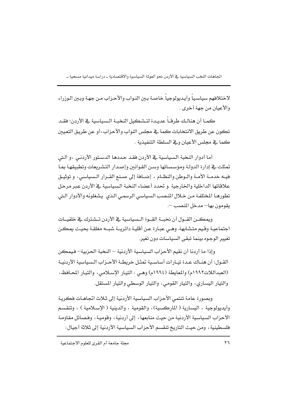لاختلافهم سياسياً وأيدبولوجياً خاصة يبن النواب والأجزاب من جهة ويبن الوزراء والأعيان من جهة أخرى .

كمـا أن هنالـك طرقــاً عديـدة لتـشكيل النخبـة الـسياسية ـ2ْ الأردن؛ فقـد تكون عن طريق الانتخابات كما يۓ مجلس النواب والأحزاب،أو عن طريق التعيين كما في مجلس الأعيان وفي السلطة التنفيذية .

أما أدوار النخبة السياسية في الأردن فقـد حـددهـا الدسـتور الأردنـي ،و الـتي تمثلت في إدارة الدولة ومؤسساتها وسن القوانين وإصدار التشريعات وتطبيقها بما فيـه خدمـة الأمـة والـوطن والنظـام ، إضـافة إلى صـنـع القـرار الـسياسي، و توثيـق علاقاتها الداخلية والخارجية .و تحدد أعضاء النخبة السياسية في الأردن عبر مرحل تطورهـا المختلفـة مـن خـلال المنصب الـسياسـي الـرسمـي الـذي يـشغلونه والأدوار الـتي يقومون بها— مدخل المنصب —.

ويمكــن القــول أن نخبــة القــوة الــسياسية ــفـّـالأردن تــشترك ــفـ خلفيــات اجتماعية وقيم متشابهة. وهـي عبـارة عـن أقليـة دائريــة شبــه مغلقـة بحيـث بمكـن تغيير الوجوه بينما تبقى السياسات دون تغير.

وإذا ما أردنا أن نقيم الأحزاب السياسية الأردنية — النخبة الحزبية— فيمكن القـول: أن هنـاك عـدة تيـارات أساسـية تمثـل خريطـة الأحـزاب الـسياسية الأردنيـة (العبداللات١٩٩٢م) والمعايطة (١٩٩٤م) وهي : التيار الإسلامي، والتيار المحافظ، والتيار اليساري، والتيار القومي، والتيار الوسطى والتيار المستقل.

وبصورة عامة تنتمي الأحزاب السياسية الأردنية إلى ثـلاث اتجاهـات فكريـة وأيديولوجية ، اليسارية ( الماركسية)، والقومية ، والدينية ( الإسـلامية ) ، وتنقسم الأحزاب السياسية الأردنية من حيث منابعها ، إلى أردنية ، وقومية ، وفصائل مقاومة فلسطينية ، ومن حيث التاريخ تنقسم الأحزاب السياسية الأردنية إلى ثلاثة أجيال: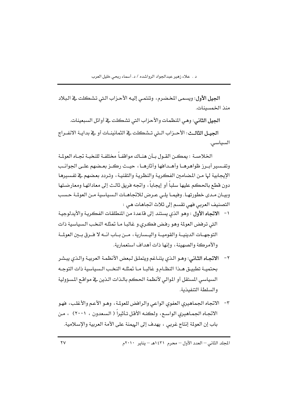**الجيل الأول**: ويسمى المخضرم، وتنتمي إليه الأحزاب التي تشكلت في البلاد منذ الخمسبنات.

**الجيل الثاني**: وهي المنظمات والأحزاب التي تشكلت في أوائل السبعينات. **الجيـل الثالـث**: الأحـزاب الـتي تـشكلت في الثمانينــات أو في بدايــة الانفــراج السياسى.

الخلاصية : يمكن القبول بيأن هنياك مواقفياً مختلفية للنخبية تحياه العولمية وتفسير أبـرز ظواهرهــا وأهــدافها وآثارهــا ، حيـث ركــز بعـضهم علــى الجوانـب الإيجابية لها من المضامين الفكريـة والنظريـة والتقنيـة ، وتـردد بعـضهم في تفسيرهـا دون قطع بالحكم عليها سلباً أو إيجاباً ، واتجه فريق ثالث إلى معاداتها ومعار ضتها وبيـان مـدى خطورتهـا. وفيمـا يلـى عـرض للاتجاهـات الـسياسية مـن العولمة حـسب التصنيف العربي فهي تقسم إلى ثلاث اتجاهات هي :

- ١– **الاتجاه الأول** : وهو الذي يستند إلى قاعدة من المنطلقات الفكرية والأيدلوجية التي ترفض العولة وهو رفض فكري.و غالبـا مـا تمثلـه النخب السياسية ذات التوجهـات الدينيــة والقوميــة واليــسارية ، مــن بــاب انــه لا ضـرق بــن العولمـة والأمركة والصهينة، وإنها ذات أهداف استعمارية.
- الاتجاه الثاني: وهـو الـذي يتنـاغم ويتملـق لبعض الأنظمـة العربيـة والـذي يبـشر  $-\tau$ بحتميــة تطبيــق هــذا النظــام.و غالبــا مــا تمثلــه النخـب الـسياسية ذات التوجــه السياسي المستقل أو الموالي لأنظمة الحكم بالـذات الـذين في مواقـع المسؤولية والسلطة التنفيذية.
- ٣- الاتجاه الجماهيري العفوي الواعي والرافض للعولمة ، وهـو الأعـم والأغلب ، فهـو الاتجاه الجماهيري الواسع، ولكنه الأقل تأثيراً ( السعدون ، ٢٠٠١) ، من باب إن العولمة إنتاج غربي ، يهدف إلى الهيمنة على الأمة العربية والإسلامية.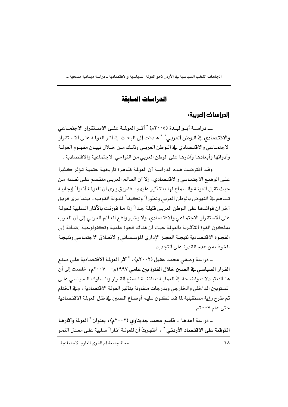#### الدراسات السايقة

الدراسانة المربية:

**والاقتصادي \_ الوطن العربي". "** هـدفت إلى البحـث \_ أثـر العولـة علـى الاسـتقرار الاجتمـاعي والاقتـصادي يخ الـوطن العربـي وذلـك مـن خـلال تبيـان مفهـوم العولمـة وأدواتها وأبعادها وآثارها على الوطن العربي من النواحي الاجتماعية والافتصادية .

وقد افترضت هـذه الدراسـة أن العولمة ظـاهـرة تاريخيـة حتميـة تـؤثر كـثيرا على الوضع الاجتمـاعي والاقتصادي، إلا أن العـالم العربـي منقسم علـي نفسه مـن حيث تقبل العولمة والسماح لها بالتأثير عليهم، ففريق يرى أن للعولمة آثارا ً إيجابية تساهم ﴾ النهوض بالوطن العربي وتطورا ً وتكيفا ً للدولة القومية ، بينما يرى فريق آخر أن فوائدها على الـوطن العربـي فليلـة جـدا ً إذا مـا فورنت بالآثـار الـسلبية للعولمة على الاستقرار الاجتماعي والاقتصادي. ولا يشير واقع العالم العربي إلى أن العرب يملكون القوة التأثيرية بالعولمة حيث أن هناك فجوة علمية وتكنولوجية إضافة إلى الفجوة الافتصادية نتيجة العجز الإداري المؤسساتي والانغلاق الاجتماعي ونتيجة الخوف من عدم القدرة على التجديد .

ــ دراسة وصفى محمد عقيل (٢٠٠٢م)، " أثر العولمة الافتصادية على صنع **القرار السياسي في الصين خلال الفترة بين عامي ١٩٩٧م- ٢٠٠٧م، خلصت إلى أن** هنـاك تبـدلات واضـحة في العمليـات الفنيـة لـصنع القـرار والـسلوك الـسياسي علـي المستويين الداخلي والخارجي وبدرجات متفاوتة بتأثير العولة الاقتصادية ، ويخ الختام تم طرح رؤية مستقبلية لما قد تكون عليه أوضاع الصين في ظل العولمة الافتصادية حتى عام ٢٠٠٧م.

ــ دراسة أعدها ، فاسم محمد جديتاوي (٢٠٠٢م)، بعنوان " العولمة وآثارهـا **المتوقعة على الاقتصاد الأردنـى "** ، أظهـرتَ أن للعولمة آثـارا ً سـلبية علـى معـدل النمـو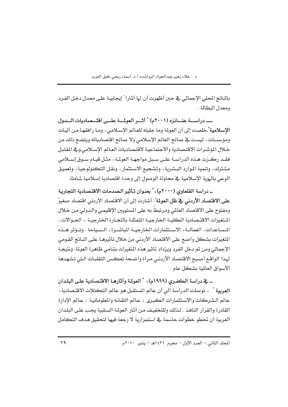بالناتج المحلي الإجمالي في حين أظهرت أن لها آثـارا ً إيجابيـة علـي معـدل دخل الفـرد ومعدل البطالة .

**الإسلامية".**خلصت إلى أن العولمة وما جلبته للعـالم الإسـلامي، ومـا رافقهـا مـن آليـات ومؤسسات، ليست في صالح العالم الإسلامي ولا صالح افتصادياته ويتضح ذلك من خلال المؤشرات الافتصادية والاجتماعية لافتصاديات العالم الإسلامي ويخ المقابل فقــد ركــزت هــذه الدراســة علــى ســبل مواجهــة العولــة ، مثـل قيــام ســوق إســـلامي مشترك، وتنمية الموارد البشرية، وتشجيع الاستثمار، ونقل التكنولوجيا، وتعميق الوعي بالهوية الإسلامية في محاولة الوصول إلى وحدة افتصادية إسلامية شاملة.

ــ دراسة القلعاوي (٢٠٠٠م)، " بعنوان تـأثير الـصدمات الاقتصادية التجاريـة ع**لى الاقتصاد الأردني \_2 ظل العولم**ة". أشارت إلى أن الاقتصاد الأردنى اقتصاد صغيرً ومفتوح على الاقتصاد العالمي ومرتبطَ به على المستويين الإقليمـي والـدولي مـن خـلال المتغيرات الاقتـصادية الكليـة الخارجيـة المتمثلـة بالتجـارة الخارجيـة ، الحـوالات، المساعدات، العمالية، الاستثمارات الخارجيبة المباشيرة، السبياحة . وتبؤثر هيذه المتغيرات بشكل واضح على الافتصاد الأردني من خلال تأثيرهـا علـي النـاتج القـومي الإجمالي ومن ثم دخل الفرد ويزداد تأثير هذه المتغيرات بتنامي ظاهرة العولمة. ونتيجة لهذا الواقع أصبح الافتصاد الأردني مرآة واضحة تعكس التقلبات التي تشهدها الأسواق العالمية بشكل عام .

ــ ــ في دراسة الكفـري (١٩٩٩م)، " العولمة وآثارهـا الافتـصادية علـى البلـدان **العربية** " ، توصلت الدراسة آلى أن عالم المستقبل هو عالم التكتلات الافتصادية ، عالم الشركات والاستثمارات الكبرى ، عالم التقانه والمعلوماتية ، عالم الإدارة القادرة والقرار النافذ . لذلك وللتخفيف من آثار العولمة السلبية يجب على البلدان العربية أن تخطو خطوات حاسمة في استمرارية لا رجعة فيها لتحقيق هدف التكامل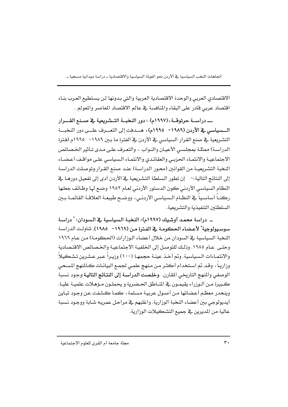الافتصادي العربي والوحدة الافتصادية العربية والتي بدونها لن يستطيع العرب بناء افتصاد عربي قادر على البقاء والمنافسة في عالم الاقتصاد المعاصر والمولم .

السسياسي في الأردن (١٩٨٩– ١٩٩٥م)، هـــدهت إلى التعـــرف علـــى دور النخبـــة التشريعية في صنع القرار السياسي في الأردن في الفترة ما بـِن ١٩٨٩- - ١٩٩٥م (فترة الدراسة) ممثلة بمجلسي الأعيان والنـواب ، والتعـرف علـى مـدى تـأثير الخـصائص الاجتماعية والانتماء الحزبي والعقائدي والانتماء السياسي على مواقف أعضاء النخبة التشريعيـة من القوانـن (محـور الدراسـة) عنـد صنـع القـرار وتوصلت الدراسـة إلى النتائج التالية:- ﴿ إِن تطورِ السلطةِ التشريعيةِ فِي الأردنِ أدى إلى تفعيلِ دورِهـا فِي النظام السياسي الأردني كون الدستور الأردني لعـام ١٩٥٢ وضـع لهـا وظـائف جعلها ركنــا أسـاســيا ــفي النظــام الــسيـاسـى الأردنــى، ووضــح طبيعــة العلاقــة القـائمــة بــين السلطتين التنفيذية والتشريعية.

ـــ دراسة محمد أوشيك (١٩٩٧م): النخبـة السياسية ــِـة الـسودان: " دراسـة سوسيولوجية" لأعضاء الحكومة في الفترة من (١٩٦٩– ١٩٨٥). تناولت الدراسة النخبة السياسية في السودان من خلال أعضاء الوزارات (الحكومة) من عام ١٩٦٩ وحتى عـام ١٩٨٥. وذلك للتوصـل إلى الخلفيـة الاجتماعيـة والخـصائص الاقتـصادية والانتمـاءات الـسياسية. وتم أخـذ عينـة حجمهـا (١٠٠) وزيـرا عـبر عـشرين تـشكيلا وزارياً، وقد تم استخدام أكثر من منهج علمي لجمع البيانات كالمنهج المسحى الوصفي والمنهج التاريخي المقارن. **وخلصت الدراسة إلى النتائج التالية** وجود نسبة كبيرة مـن الـوزراء يقيمـون في المنـاطق الحـضرية.و يحملـون مـؤهـلات علميـة عليـا. وينحدر معظم أعضائها من أصول عربية مسلمة، كما كشفت عن وجود تباين أيديولوجي بين أعضاء النخبة الوزارية. واغلبهم في مراحل عمريه شـابة ووجـود نسبة عالية من المديرين في جميع التشكيلات الوزارية.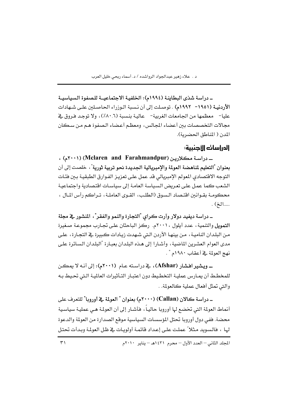ــ دراسة شذى البطاينـة (١٩٩٤م): الخلفيـة الاجتماعيــة للصفوة السياسيـة **الأردنيــة (١٩٥١ – ١٩٩٢م)** . توصـلت إلى أن نـسبة الـوزراء الحـاصـلين علـى شـهادات عليا– معظمها من الجامعات الغربية– عاليـة بنسبة (٨٠٫٦٪)، ولا توجد فـروق في مجالات التخصصات ببن أعضاء المجالس، ومعظم أعضاء الصفوة هـم مـن سـكان المدن ( المناطق الحضربة).

#### الدراسانه الأجنبية:

. دراسة مكلارين (Mclaren and Farahmandpur) (٢٠٠١م) ، بعنوان "التعليم لمناهضة العولمة والإمبريالية الجديدة نحو تربية ثورية"، خلصت إلى أن التوجه الاقتصادي المولم الإمبريالي قد عمل على تعزيز الفـوارق الطبقيـة بـين فئـات الشعب كما عمل على تعريض السياسة العامة إلى سياسات افتصادية واجتماعية محكومـة بقـوانـين اقتـصـاد الـسوق (الطلـب، القـوي العاملـة، تـراكم رأس المـال ، .....الخ) .

ــ دراسة ديفيد دولار وآرت كراي "التجارة والنمو والفقر"، المنشور في مجلة <mark>التمويل</mark> والتنمية ، عدد أيلول ، ٢٠٠١م. ركز الباحثان عل*ى* تجارب مجموعة صغيرة مـن البلـدان النـاميـة ، مـن بينهـا الأردن الـتي شـهدت زيـادات كـبيرة ـ2 التجـارة ، علـي مدى العوام العشرين الماضية، وأشارا إلى هذه البلدان بعبارة "البلدان السائرة على نهج العولمة في أعقاب ١٩٨٠م " .

ـــ **ويشير افشار (Afshar**)، يخ دراسـته عــام (٢٠٠١م): إلى أنـه لا يمكـن للمخطط أن يمـارس عمليـة التخطيط دون اعتبـار التـأثيرات العالمية الـتي تحيط بـه والتي تمثل أفعال عملية كالعولمة. .

ــ دراسة كالان (Callan) (٢٠٠٠م) بعنوان " العولمة في أوروبا" للتعرف على أنماط العولم التي تخضع لها أوروبا حالياً ، فأشـار إلى أن العولمة هـي عمليـة سياسـية محضة. ففي دول أوروبا تحتل المؤسسات السياسية موقع الصدارة من العولمة والدعوة لها ، فالسويد مثلا ً عملت على إعداد قائمة أولويات في ظل العولمة وبدأت تحتل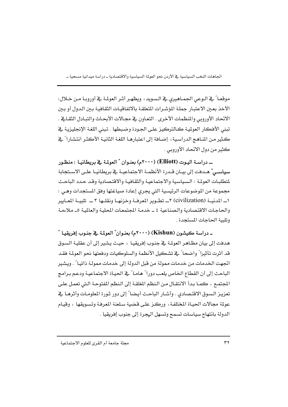موقعـا ً في الـوعـي الجمـاهـري في الـسويد ، ويظهـر أثـر العولمة في أوروبـا مـن خـلال: الأخذ بعـين الاعتبـار جملـة المؤشـرات المتعلقـة بالاتفاقيـات الثقافيـة بـين الـدول أو بـين الاتحاد الأوروبي والمنظمات الأخرى . التعاون في مجـالات الأبحـات والتبـادل الثقـافي . تبني الأفكار العولية كالتركيز على الجودة وضبطها . تبنى اللغة الإنجليزية في كثير من المناهج الدراسية، إضافة إلى اعتبارهـا اللغـة الثانيـة الأكثـر انتشارا ً \_في كشر من دول الاتحاد الأوروبي .

ـــ دراســة اليــوت (Elliott) (٢٠٠٠م) بعنــوان " الـعولــة ـــفي بريطانيــا : منظــور سياسـي" هـدفت إلى بيـان قـدرة الأنظمـة الاجتماعيـة \_في بريطانيـا علـي الاسـتجابة لمتطلبات العولمة : السياسية والاجتماعية والثقافية والافتصادية وقد حدد الباحث مجموعة من الموضوعات الرئيسية التي يجري إعادة صياغتها وفق المستجدات وهـي : ١\_ المدنيــة (civilization) ٢\_ تطــوير المعرفــة وخزنهــا ونقلــها ٣ ـــ تلبيــة المعـايير والحاجات الاقتصادية والصناعية ٤ ــ خدمة المجتمعات المحلية والعالمية ٥ـ ملاءمة وتلبية الحاجات المستحدة .

\_ دراسة كيشون (Kishun) (٢٠٠٠م) بعنـوان" العولـة في جنـوب إهريقيـا " هدفت إلى بيان مظـاهـر العولـة في جنـوب إفريقيـا ، حيـث يشير إلى أن عقليـة الـسوق قد أثرت تأثيرا ً واضحا ً في تشكيل الأنظمة والسلوكيات ودفعتها نحو العولمة فقد اتجهت الخدمات من خدمات ممولة من قبل الدولة إلى خدمات ممولـة ذاتيـا ً . ويشير الباحث إلى أن القطاع الخاص يلعب دورا ً هامـا ً في الحيـاة الاجتماعيـة ودعـم بـرامـج المجتمع ، كما بدأ الانتقال من النظم المغلقـة إلى النظم المفتوحـة الـتي تعمـل علـي تعزيز السوق الاقتصادي . وأشار الباحث أيضا ً إلى دور ثورة الملومات وأثرهـا في عولم مجالات الحيـاة المختلفـة، وركـز علـي قـضية سـلعنة المعرفـة وتسويقها ، وقيـام الدولة بانتهاج سياسات تسمح وتسهل الهجرة إلى جنوب إفريقيا .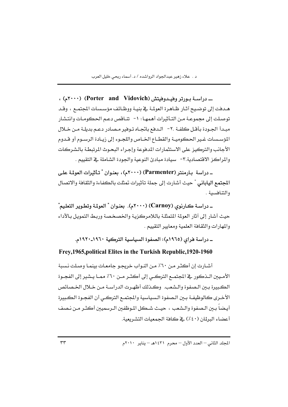ـ دراسة بورتر وفيدوفيتش (Porter and Vidovich) (٢٠٠٠م) ، هيدفت إلى توضيح آثـار ظـاهرة العولمة في بنيـة ووظـائف مؤسسيات المجتمـع ، وقـد توصلت إلى مجموعـة مـن التـأثيرات أهمهـا : ١- تتـاقص دعـم الحـكومـات وانتـشار مبدأ الجـودة بأقـل كلفـة .٢- الـدفع باتجـاء تـوفير مـصادر دعـم بديلـة مـن خـلال المؤسسات غير الحكومية والقطاع الخاص واللجوء إلى زيادة الرسوم أو قدوم الأجانب والتركيز على الاستثمارات المدفوعة وإجراء البحوث المرتبطة بالشركات والمراكز الاقتصادية.٣- سيادة مبادئ النوعية والجودة الشاملة في التقييم .

\_ دراسة بـارمنتر (Parmenter) (٢٠٠٠م)، بعنوان " تـأثيرات العولمة على **المجتمع الياباني** " حيث أشارت إلى جملة تأثيرات تمثلت بالكفاءة والثقافة والاتصال والتنافسية .

ــ دراسـة كــارنوي (Carnoy) (٢٠٠٠م). بعنـوان " العولـة وتطـوير التعليم" حيث أشار إلى آثار العولم المتمثلـة باللامركزيـة والخصخصة وربـط التمويل بـالأداء والمهارات والثقافة العلمية ومعايير التقييم .

#### \_ دراسة هراي (١٩٦٥م): الصفوة السياسية التركية ١٩٦٠-١٩٢٠م.

#### Frey, 1965, political Elites in the Turkish Republic, 1920-1960

أشـارت إن أكثـر مـن ٦٠٪ مـن النـواب خريجـو جامعـات بينمـا وصلت نـسبة الأمـيين الـذكور \_ المجتمـع التركــي إلى أكثــر مــن ٦٠٪ ممــا يــشير إلى الفجــوة الكبيرة بـبن الـصفوة والـشعب. وكـذلك أظهـرت الدراسـة مـن خـلال الخـصائص الأخرى كالوظيفـة بـين الـصفوة الـسياسية والمجتمـع التركـي أن الفجـوة الكـبيرة أيضاً بـن الـصفوة والـشعب ، حيـث شـكل الموظفـن الـرسميـن أكثـر مـن نـصف أعضاء البرلمان (٤٠٪) في كافة الحمعيات التشريعية.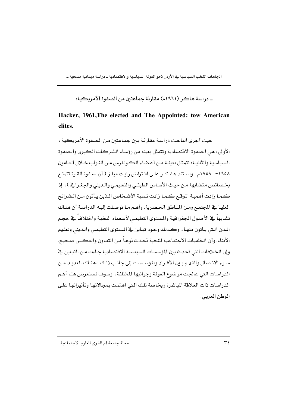#### ــ دراسة هاكر (١٩٦١م) مقارنة جماعتين من الصفوة الأمريكية:

## Hacker, 1961. The elected and The Appointed: tow American elites.

حيث أجرى الباحث دراسة مقارنة بين جماعتين من الصفوة الأمريكية، الأولى: هي الصفوة الاقتصادية وتتمثل بعينة من رؤساء الشركات الكبرى والصفوة السياسية والثانيـة: تتمثَّل بعينية من أعضاء الكونغرس من النـواب خـلال العـامين ١٩٥٨- ١٩٥٩م. واستند هاكبر على افتراض رايت ميلز ( أن صفوة القبوة تتمتع بخصائص متشابهة من حيث الأساس الطبقي والتعليمي والديني والجغراڤي )، إذ كلمـا زادت أهميـة الموقـع كلمـا زادت نـسبة الأشـخاص الـذين يـأتون مـن الـشرائح العليـا في المجتمـع ومـن المنـاطق الحـضرية. وأهـم مـا توصـلت إليـه الدراسـة أن هنـاك تشابهاً في الأصول الجغرافية والمستوى التعليمي لأعضاء النخبة واختلافاً في حجم المدن الـتي يـأتون منهـا ، وكـذلك وجـود تبـاين في المستوى التعليمـي والـديني وتعليم الأبناء. وأن الخلفيات الاجتماعية للنخبة تحدث نوعاً من التعاون والعكس صحيح. وإن الخلافات التي تحدث بين المؤسسات السياسية الاقتصادية جاءت من التباين في سبوء الاتصال والفهم يبن الأفيراد والمؤسسات إلى جانب ذلك ،هنباك العديد مين الدراسات التي عالجت موضوع العولة وجوانبها المختلفة، وسوف نستعرض هنـا أهـم الدراسات ذات العلاقة المباشرة وبخاصة تلك التي اهتمت بمجالاتها وتأثيراتها على الوطن العربي .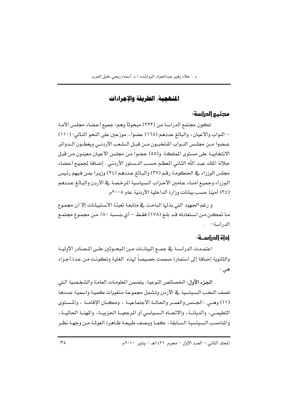#### المنهجية، الطريقة والاجراءات

#### مجنهع الدراسة:

تكون مجتمع الدراسة من (٢٢٣) مبحوثاً وهم؛ جميع أعضاء مجلس الأمة — النواب والأعيان، والبالغ عددهم (١٦٥) عضواً ، موزعين على النحو التـالي؛ (١١٠) عـضوا مـن مجلـس النــواب المنتخبــون مـن فبـل الــشعب الأردنــي ويغطــون الــدوائر الانتخابيــة على مستوى المملكــة. و(٥٥) عـضواً مـن مجلس الأعيـان معينـون مـن قبـل جلالة الملك عبد اللّه الثاني المعظم حسب الدستور الأردنـي . إضـاهة لجميـع أعـضاء مجلس الوزراء في الحكومـة رقـم (٣٧) والبـالـغ عـددهـم (٢٤) وزيـراً بمـن فيهم رئـيس الوزراء وجميع أمناء عـامـن الأحـزاب الـسياسية المرخصة في الأردن والبـالغ عـددهم (٣٤) أمينا حسب بيانات وزارة الداخلية الأردنية عام ٢٠٠٨م.

و رغم الجهود التي بذلها الباحث يخ متابعة تعبئة الاستبيانات إلا أن مجموع مـا تمكـن مـن اسـتعادته قـد بلـغ (١٧٨) فقـط – أي بنـسبة ٨٠٪ مـن مجمـوع مجتمـع الدراسة- .

#### أداة الدراســة:

اعتمـدت الدراســة في جمــع البيانــات مــن المبحـوثين علــى المـصادر الأوليــة والثانوية إضافة إلى استمارة صممت خصيصاً لهذه الغاية وتكونت من عدة أجزاء هى :

**الجزء الأول**: الخصائص النوعية: يتضمن المعلومـات العامـة والشخصية الـتي تصف النخب السياسية يخ الأردن وتشمل مجموعة متغيرات كمية واسمية عددها (١١) وهـي : الجـنس والعمـر والحالــة الاجتماعيــة ، ومكــان الإقامــة ، والمستوى التعليمــي، والديانــة، والاتجــاه الــسياسـي أو المرجعيــة الحزبيــة، والمهنــة الحاليــة، والمناصب السياسية السابقة، كما ويصف طبيعة ظاهرة العولمة من وجهة نظر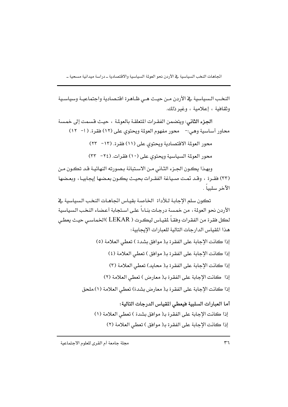النخب السياسية في الأردن مـن حيـث هـي ظـاهـرة اقتـصادية واجتماعيـة وسياسـية وثقافية ، إعلامية ، وغير ذلك.

**الجزء الثاني**: ويتضمن الفقـرات المتعلقـة بالعولمة ، حيـث قسمت إلى خمسة محاور أساسية وهي:- محور مفهوم العولمة ويحتوي على (١٢) فقرة. (١- ١٢)

محور العولمة الافتصادية ويحتوي على (١١) فقرة. (١٣ - ٢٣)

محور العولمة السياسية ويحتوي على (١٠) فقرات. (٢٤ - ٣٣)

وبهـذا يكـون الجـزء الثـاني مـن الاسـتبـانة بـصورته النهائيـة قـد تكـون مـن (٣٣) فقـرة ، وقـد تمـت صـياغة الفقـرات بحيـث يكـون بعـضها إيجابيـا ، وبعـضها الآخر سلبياً .

تكون سلم الإجابة لـلأداة الخاصة بقياس اتجاهـات النخب السياسية في الأردن نحو العولمة، من خمسة درجات بنـاءاً علـى اسـتجابة أعـضاء النخب السياسية لكل فقرة من الفقرات وفقـاً لمقياس ليكـرت ( LEKAR )الخماسـي حيث يعطـي هذا المقياس الدارجات التالية للعبارات الإيجابية: إذا كانت الإجابة على الفقرة بـ( موافق بشدة ) تعطي العلامة (٥) إذا كانت الإجابة على الفقرة بـ( موافق ) تعطي العلامة (٤) إذا كانت الإجابة على الفقرة بـ( محايد) تعطى العلامة (٣) إذا كانت الإجابة على الفقرة بـ( معارض ) تعطي العلامة (٢) إذا كانت الإجابة على الفقرة بـ( معارض بشدة) تعطي العلامة (١).ملحق أما العبارات السلبية فيعطي المقياس الدرجات التالية:

> إذا كانت الإجابة على الفقرة بـ( موافق بشدة ) تعطي العلامة (١) إذا كانت الإجابة على الفقرة بـ( موافق ) تعطي العلامة (٢)

مجلة جامعة أم القرى للعلوم الاجتماعية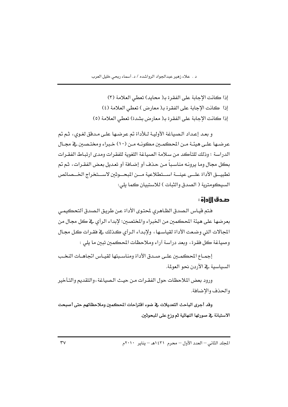إذا كانت الإجابة على الفقرة بـ( محايد) تعطي العلامة (٣) إذا كانت الإجابة على الفقرة بـ( معارض ) تعطي العلامة (٤) إذا كانت الإجابة على الفقرة بـ( معارض بشدة) تعطى العلامة (٥)

و بعد إعداد الـصياغة الأوليـة لـلأداة تم عرضـها علـى مـدقق لغـوى، ثـم تم عرضها علـى هيئـة مـن المحكمـين مكونـه مـن (١٠) خـبراء ومختـصين في مجـال الدراسة ؛ وذلك للتأكد من سلامة الصياغة اللغوية للفقرات ومدى ارتبـاط الفقـرات بكل مجال وما يرونـه مناسـبـاً مـن حـذف أو إضـافة أو تعـديل بعـض الفقـرات، ثـم تم تطبيـــق الأداة علـــي عينـــة اســـتطلاعية مـــن المبحـــوثين لاســـتخراج الخـــصائص السيكومترية ( الصدق والثبات ) للاستبيان كما يلي:

#### صدق الأواة :

فتم قياس الصدق الظاهري لمحتوى الأداة عن طريق الصدق ألتحكيمي بعرضها على هيئة المحكمين من الخبراء والمختصين؛ لإبداء الرأي في كل مجال من المجالات التي وضعت الأداة لقياسها ، ولإبداء الرأي كذلك في فقرات كل مجال وصياغة كل فقرة، وبعد دراسة آراء وملاحظات المحكمين تبين ما يلي :

إجمـاع المحكمــين علــي صــدق الأداة ومناســبتها لقيــاس اتجاهــات النخـب السباسية في الأردن نحو العولمة.

ورود بعض الملاحظات حول الفقـرات مـن حيـث الـصياغة،والتقديم والتـأخير والحذف والإضافة.

وقد أجرى الباحث التعديلات في ضوء اقتراحات المحكمين وملاحظاتهم حتى أصبحت الاستبانة في صورتها النهائية ثم وزع على المحوثين.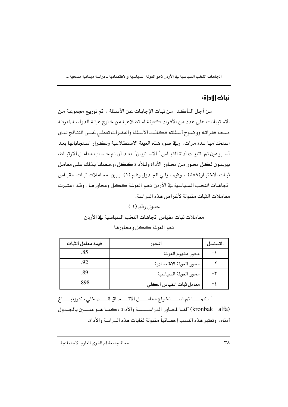#### ثبانه الأواة:

من أجل التأكد من ثبات الإجابات عن الأسئلة ، تم توزيع مجموعـة من الاستبيانات على عدد من الأفراد كعينة استطلاعية من خارج عينة الدراسة لمعرفة صحة فقراته ووضوح أسئلته فكانت الأسئلة والفقرات تعطى نفس النتائج لدى استخدامها عدة مرات، ويخ ضوء هذه العينة الاستطلاعية وتكرار استجاباتها بعد أسبوعين تم تثبيت أداة القياس " الاستبيان". بعد أن تم حساب معامل الارتبـاط بيرسـون لكـل محـور مـن محـاور الأداة ولـلأداة ككل، وحـصلنا بـذلك علـى معامـل ثبـات الاختبـار(٨٩٪) ، وفيمـا يلـى الجـدول رقـم (١) يبين معـامـلات ثبـات مقيـاس اتجاهـات النخب السياسية في الأردن نحـو العولمة ككـل ومحاورهـا . وقـد اعتبرت معاملات الثبات مقبولة لأغراض هذه الدراسة.

## جدول رقم (١) معاملات ثبات مقياس اتجاهات النخب السياسية في الأردن نحو العولمة ككل ومحاورها

| فيمة معامل الثبات | المحور                   | التسلسل |
|-------------------|--------------------------|---------|
| .85               | محور مفهوم العولمة       |         |
| .92               | محور العولمة الاقتصادية  |         |
| .89               | محور العولمة السياسية    | $-\tau$ |
| -898              | معامل ثبات المقياس الكلى |         |

" كمـــا تم اســــتخراج معامــــل الاتــــساق الــــداخلي كرونيــــاخ (kronbak) alfa) ألفــا لمحــاور الدراســـــــــة والأداة ،كمــا هــو مبـــــين بالجــدول أدناه، وتعتبر هذه النسب إحصائياً مقبولة لغايات هذه الدراسة والأداة.

مجلة جامعة أم القرى للعلوم الاجتماعية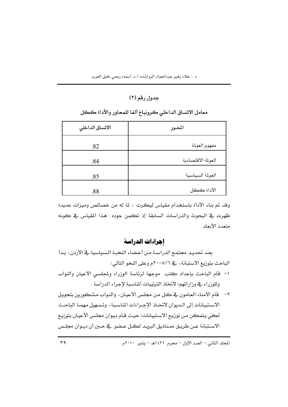### جدول رقم (٢)

| الاتساق الداخلى | المحور             |
|-----------------|--------------------|
| .82             | مفهوم العولمة      |
| .84             | العولمة الاقتصادية |
| .85             | العولمة السياسية   |
| .88             | الأداة ككل         |

#### معامل الاتساق الداخلي كرونباخ ألفا للمحاور والأداة ككل

وقد تم بناء الأداة باستخدام مقياس ليكرت ، لما له من خصائص وميزات عديدة ظهرت في البحوث والدراسات السابقة إذ تكمن جوده هذا المقياس في كونه متعدد الأيعاد

#### اجراءات الدراسة

بعد تحديد مجتمـع الدراسـة مـن أعـضاء النخبـة الـسياسية ـ2ْ الأردن، بـدأ الباحث بتوزيع الاستبانة ، في ٢٠٠٨/٦م وعلى النحو التالي:

١- قام الباحث بإعداد كتب موجهة لرئاسة الوزراء ولمجلسى الأعيان والنواب وللوزراء في وزاراتهم؛ لاتخاذ الترتيبات المناسبة لإجراء الدراسة .

٢- قام الأمناء العامون في كل من مجلس الأعيان، والنواب مشكورين بتحويل الاستبيانات إلى الـديوان لاتخـاذ الإجـراءات المناسبة، وتسهيل مهمـة الباحـث لكي يتمكن من توزيع الاستبيانات؛ حيث قـام ديوان مجلس الأعيـان بتوزيـع الاستبانة عـن طريـق صـناديق البريـد لكـل عـضو. في حـين أن ديـوان مجلـس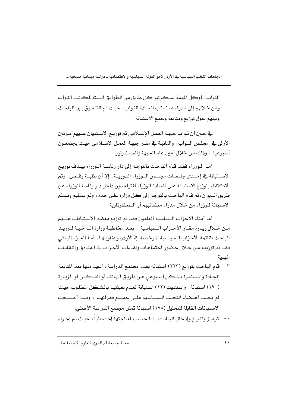النواب، أوكل المهمة لسكرتير كل طابق من الطوابق السنة لمكاتب النواب ومن خلالهم إلى مدراء مكاتب السادة النواب، حيث تم التنسيق بين الباحث وبينهم حول توزيع ومتابعة وجمع الاستبانة .

<u>ي</u>ّ حين أن نـواب جبهــة العمـل الإســلامـي تم توزيــع الاسـتبيان علـيهم مـرتين الأولى في مجلس النـواب، والثانيـة في مقـر جبهـة العمـل الإســلامـي حيـث يجتمعـون أسبوعيا ، وذلك من خلال أمين عام الجبهة والسكرتير.

أمـا الـوزراء فقـد قـام الباحـث بالتوجـه إلى دار رئاسـة الـوزراء بهـدف توزيـع الاســتبانة في إحــدي جلــسات مجلــس الــوزراء الدوريــة، إلا أن طلبــة رضـض، وتم الاكتفاء بتوزيع الاستبانة على السادة الوزراء المتواجدين داخل دار رئاسة الوزراء عن طريق الديوان، ثم قـام البـاحـث بـالتوجـه إلى كـل وزارة علـى حـدة، وتم تسليم وتسلم الاستبانة للوزراء من خلال مدراء مكاتبهم أو السكرتارية.

أما أمناء الأحزاب السياسية العامون فقد تم توزيع معظم الاستبانات عليهم مـن خــلال زيـارة مقــار الأحــزاب الــسياسية — بعــد مخاطبــة وزارة الداخليــة لتزويـد الباحث بقائمة الأحزاب السياسية المرخصة في الأردن وعناوينها ، أمـا الجـزء البـاقي فقد تم توزيعه من خلال حضور اجتماعات ولقـاءات الأحـزاب في الفنـادق والنقابـات المهنية.

٣- قام الباحث بتوزيع (٢٢٣) استبانه بعدد مجتمع الدراسة ، أعيد منها بعد المتابعة الجـادة والمستمرة بـشكل أسـبوعي عـن طريـق الهـاتف أو الفـاكس أو الزيـارة (١٩٠) استبانة، واستثنيت (١٢) استبانة لعدم تعبئتها بالشكل المطلوب حيث لم يجـب أعــضاء النخـب الــسياسية علــي جميــع فقراتهــا ، وبــذا أصــبحت الاستبانات القابلة للتحليل (١٧٨) استبانة تمثل مجتمع الدراسة الأصلي.

٤- ترميز وتفريغ وإدخال البيانات في الحاسب لمالجتها إحصائياً ، حيث تم إحراء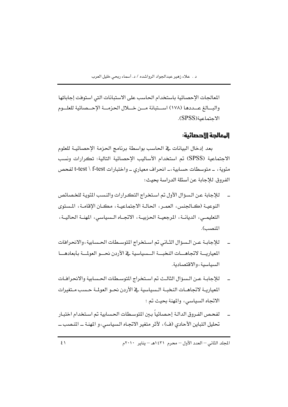المعالجات الإحصائية باستخدام الحاسب على الاستبانات التي استوفت إجاباتها والبسالغ عسددها (١٧٨) اسستبانة مسن خسلال الحزمسة الإحسصائية للعلسوم الاحتماعية(SPSS).

#### المعالدة ااإدصائية:

بعد إدخال البيانات في الحاسب بواسطة برنامج الحزمة الإحصائيـة للعلوم الاجتماعية (SPSS) تم استخدام الأساليب الإحصائية التالية: تكرارات ونسب مئوية ، \_ متوسطات حسابية ،\_ انحراف معياري \_ واختبارات t-test \ f-test لفحص الفروق. للإجابة عن أسئلة الدراسة بحيث:

- للإجابة عن السؤال الأول تم استخراج التكرارات والنسب المئوية للخصائص النوعيــة (كــالجنس، العمــر، الحالــة الاجتماعيــة، مكــان الإقامــة، المستوى التعليمـي، الديانـة، المرجعيـة الحزييـة، الاتجـاه الـسياسي، المهنـة الحاليـة، المنصب).
- للإجابة عـن الـسؤال الثـاني تم اسـتخراج المتوسـطات الحـسابية،والانحرافات المعياريسة لاتجاهسات النخبسة السسياسية يخ الأردن نحسو العولمسة بأبعادهسا السياسية، والاقتصادية.
- للإجابـة عـن الـسؤال الثالـث تم اسـتخراج المتوسـطات الحـسابية والانحرافـات المياريــة لاتجاهــات النخبــة الـسياسية ــفـ الأردن نحــو المولمـة حـسب مـتغيرات الاتجاه السياسي، والمهنة بحيث تم ؛
- لفحص الفـروق الدالـة إحصائياً بـين المتوسـطات الحسـابية تم اسـتخدام اختبـار تحليل التباين الأحادي (ف) ، لأثر متغير الاتجـاه السياسـي،و المهنـة ـــ المنـصب ـــــــــــــــــــــــــــــــ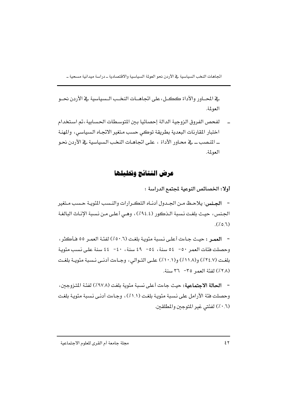في المحياور. والأداة ككيل، على اتحاهيات النخب السبياسية في الأردن نحيو العولمة.

لفحص الفروق الزوجية الدالة إحصائيا بين المتوسطات الحسابية ، تم استخدام اختبار المقارنات البعدية بطريقة توكي حسب متغير الاتجاه السياسي، والمهنة ــ المنصب ــ في محـاور الأداة ، علـى اتحاهـات النخب السياسية في الأردن نحـو العولمة.

#### عرض النتائج وتطيلها

أولا: الخصائص النوعية لمجتمع الدراسة :

– **الجـنس**: يلاحـظ مـن الجـدول أدنــاه التكــرارات والنــسب المئويــة حـسب مـتغير الجنس، حيث بلغت نسبة الـذكور (٩٤٫٤٪)، وهـي أعلـي مـن نسبة الإنـاث البالغـة  $(7.0.7)$ 

– العمر : حيث جـاءت أعلـى نسبة مئويـة بلغت (٥٠٫٦٪) لفئـة العمـر ٥٥ هـأكثر، وحصلت فئات العمر ٥٠ - ٥٤ سنة، ٥٤ - ٤٩ سنة، ٤٠- ٤٤ سنة على نسب مئوية بلغت (٢٤.٧٪) و(١١.٨٪) و(١٠.١٪) على التـوالي، وجـاءت أدنـى نـسبة مئويـة بلغـت (٢,٨٪) لفئة العمر ٣٥- ٣٦ سنة.

– الحالة الاجتماعية: حيث جاءت أعلى نسبة مئوية بلغت (٩٧٫٨٪) لفئة المتزوجين، وحصلت فئة الأرامل على نسبة مئوية بلغت (١,١٪)، وجاءت أدنى نسبة مئوية بلغت (٠,٦٪) لفئتي غير المتوجين والمطلقين.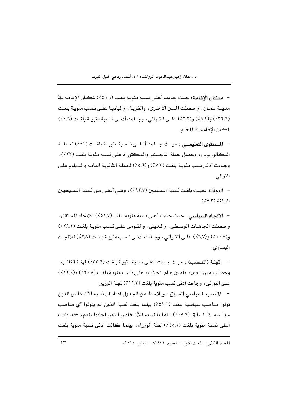- مكان الإقامة: حيث جاءت أعلى نسبة مئوية بلغت (٥٩٫٦٪) لمكان الإقامة في مدينـة عمـان، وحـصلت المـدن الأخـري، والقريـة، والباديـة علـي نـسب مئويـة بلغـت (٢٢.٦٪) و(٥,١٪) و(٢,٢٪) علـى التـوالي، وجـاءت أدنـى نـسبة مئويـة بلغـت (٠,٦٪) لمكان الاقامة في المخيم.

- المستوى التعليمـــي : حيــث جــاءت أعلــي نــسبة مئويــة بلغــت (٤١٪) لحملــة البكالوريوس، وحصل حملة الماجستير والدكتوراه على نسبة مئوية بلغت (٢٣٪)، وجـاءت أدنى نسب مئويـة بلغت (٧,٣٪) و(٥,٦٪) لحملـة الثانويـة العامـة والـدبلوم علـى التوالي.

− **الديانـة** :حيـث بلغـت نـسبة المسلمين (٩٢.٧٪) ، وهـي أعلـي مـن نـسبة المسيحيين البالغة (٧.٢٪).

- الاتجاه السياسي : حيث جاءت أعلى نسبة مئوية بلغت (٥١.٧٪) للاتجاه المستقل، وحصلت اتجاهـات الوسـطي، والـديني، والقـومي علـى نـسب مئويـة بلغـت (٢٨,١٪) و(١٠.٧٪) و(٦,٧٪) علـى التـوالي، وجـاءت أدنـى نـسب مئويــة بلغـت (٢,٨٪) للاتجـاه اليساري.

- المهنة (المنصب) : حيث جاءت أعلى نسبة مئوية بلغت (٥٥.٦٪) لمنة النائب، وحصلت مهن العين، وأمين عام الحزب، على نسب مئوية بلغت (٢٠٠٨) و(١٢٠.٤). على التوالي، وجاءت أدنى نسب مئوية بلغت (١١.٣٪) لمهنة الوزير .

- المنصب السياسي السابق : ويلاحظ من الجدول أدناه أن نسبة الأشخاص الذين تولوا مناصب سياسية بلغت (٥١٫١٪) بينما بلغت نسبة الذين لم يتولوا أي مناصب سياسية في السابق (٤٨٫٩٪) ، أما بالنسبة للأشخاص الذين أجابوا بنعم، فقد بلغت أعلى نسبة مئوية بلغت (٤٥٫١٪) لفئة الوزراء، بينما كانت أدنى نسبة مئوية بلغت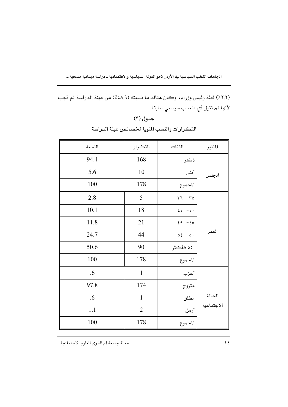(٢,٢٪) لفئة رئيس وزراء، وكان هناك ما نسبته (٤٨٫٩٪) من عينة الدراسة لم تجب لأنها لم تتول أي منصب *س*يا*سي س*ابقا.

| النسبة | التكرار        | الفئات                   | المتغير    |
|--------|----------------|--------------------------|------------|
| 94.4   | 168            | ذڪر                      |            |
| 5.6    | 10             | أنثى                     | الجنس      |
| 100    | 178            | المجموع                  |            |
| 2.8    | 5              | $\tau$ $\tau$ - $\tau$ o |            |
| 10.1   | 18             | $22 - 2$                 |            |
| 11.8   | 21             | $29 - 20$                |            |
| 24.7   | 44             | $02 - 0$                 | العمر      |
| 50.6   | 90             | ٥٥ فأكثر                 |            |
| 100    | 178            | المجموع                  |            |
| .6     | $\mathbf{1}$   | أعزب                     |            |
| 97.8   | 174            | متزوج                    |            |
| .6     | $\mathbf{1}$   | مطلق                     | الحالة     |
| 1.1    | $\overline{2}$ | أرمل                     | الاجتماعية |
| 100    | 178            | المجموع                  |            |

جدول (٣) التكرارات والنسب المئوية لخصائص عينة الدراسة

مجلة جامعة أم القرى للعلوم الاجتماعية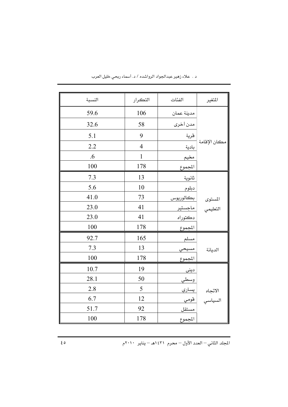| النسبة | التكرار        | الفئات             | المتغير                    |
|--------|----------------|--------------------|----------------------------|
| 59.6   | 106            | مدينة عمان         |                            |
| 32.6   | 58             | مدن أخرى           |                            |
| 5.1    | 9              | قرية               |                            |
| 2.2    | $\overline{4}$ | بادية              | مكان الإقامة               |
| .6     | $\mathbf{1}$   | مخيم               |                            |
| 100    | 178            | المجموع            |                            |
| 7.3    | 13             | ثانوية             |                            |
| 5.6    | 10             | <u>دبلوم</u>       |                            |
| 41.0   | 73             | <u>  بڪالوريوس</u> |                            |
| 23.0   | 41             | ماجست <u>یر</u>    | المستوى<br>التعليمي        |
| 23.0   | 41             | <u>دڪتوراه</u>     |                            |
| 100    | 178            | المجموع            |                            |
| 92.7   | 165            | مسلم               |                            |
| 7.3    | 13             | مسيحي              | الديانة                    |
| 100    | 178            | المجموع            |                            |
| 10.7   | 19             | <u>ديني</u>        |                            |
| 28.1   | 50             | وسطي               |                            |
| 2.8    | 5              | <u>ا يساري</u>     |                            |
| 6.7    | 12             | قومي $\vert$       | الاتجا <i>ه</i><br>السياسي |
| 51.7   | 92             | مستقل              |                            |
| 100    | 178            | المجموع            |                            |

د . علاء زهير عبدالجواد الرواشده / د. أسماء ربحي خليل العرب

المجلد الثاني – العدد الأول – محرم ٤٣١١هـ – يناير ٢٠١٠م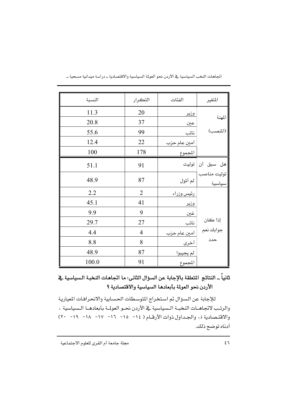| النسبة | التكرار        | الفئات       | المتغير               |
|--------|----------------|--------------|-----------------------|
| 11.3   | 20             | <u>وزير</u>  |                       |
| 20.8   | 37             | عين          | المهنة                |
| 55.6   | 99             | نائب         | (المنصب)              |
| 12.4   | 22             | أمين عام حزب |                       |
| 100    | 178            | المجموع      |                       |
| 51.1   | 91             | توليت        | هل سبق أن             |
| 48.9   | 87             | لم أتول      | توليت مناصب<br>سياسية |
| 2.2    | $\overline{2}$ | رئيس وزراء   |                       |
| 45.1   | 41             | <u>وزير</u>  |                       |
| 9.9    | 9              | غين          |                       |
| 29.7   | 27             | نائب         | إذا كان               |
| 4.4    | $\overline{4}$ | أمين عام حزب | جوابك نعم             |
| 8.8    | 8              | أخرى         | حدد                   |
| 48.9   | 87             | لم يجيبوا    |                       |
| 100.0  | 91             | المجموع      |                       |

## ثانياً ــ النتائج التعلقة بالإجابة عن السؤال الثاني: ما اتجاهات النخبـة الـسياسية ـ2ّ الأردن نحو العولة بأبعادها السياسية والاقتصادية ؟

للإجابة عن السؤال تم استخراج المتوسطات الحسابية والانحرافات المبارية والرتب لاتجاهــات النخبــة الــسياسية في الأردن نحــو العولــة بأبعادهــا الــسياسية ، والاقتصادية ة، والجداول ذوات الأرقام ( ١٤- ١٥- ١٦- ١٧- ١٨- ١٩- ٢٠) أدناه توضح ذلك.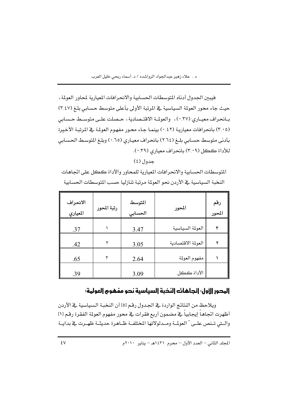فيبين الجدول أدناه المتوسطات الحسابية والانحرافات الميارية لمحاور العولمة، حيث جاء محور العولمة السياسية في المرتبة الأولى بأعلى متوسط حسابي بلغ (٣,٤٧) بـانحراف معيـاري (٠,٣٧)، والعولــة الافتـصادية، حـصلت علــي متوســط حـسابي (٣,٠٥) بانحرافات معيارية (٠,٤٢) بينمـا جـاء محـور مفهـوم العولمة في المرتبـة الأخيرة بأدنى متوسط حسابي بلـغ (٢,٦٤) بانحراف معياري (٠,٦٥) وبلـغ المتوسـط الحسابي للأداة ككل (٣.٠٩) بانحراف معياري (٢٠,٣٩).

#### $(5)$  جدول

المتوسطات الحسابية والانحرافات المبارية للمحاور والأداة ككل على اتجاهات النخبة السياسية في الأردن نحو العولمة مرتبة تنازليا حسب المتوسطات الحساسة

| الانحراف<br>المياري | رتبة المحور | المتوسط<br>الحسابى | المحور             | رقم<br>المحور |
|---------------------|-------------|--------------------|--------------------|---------------|
| .37                 |             | 3.47               | العولمة السياسية   |               |
| .42                 |             | 3.05               | العولمة الاقتصادية |               |
| .65                 |             | 2.64               | مفهوم العولمة      |               |
| .39                 |             | 3.09               | الأداة ككل         |               |

## المحور الأول: إنجاهات النخبة السياسية نحو مفهوم المولمة:

ويلاحظ من النتائج الواردة في الجدول رقم [٥] أن النخبـة السياسية في الأردن أظهرت اتجاهـاً إيجابياً ـ2 مضمون أريع فقرات ـ2 محور مفهوم العولمة الفقرة رقـم [1] والـتي تـنص علـي " العولــة ومــدلولاتها المختلفــة ظــاهـرة حديثــة ظهــرت في بدايــة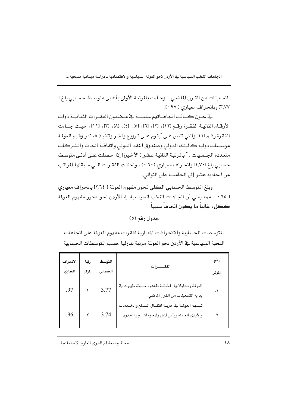التسعينات من القـرن الماضـي. " وجـاءت بالمرتبـة الأولى بأعـلى متوسـط حسـابي بلـغ 1 ۲٬۷۷ وبانحراف معیاری [ ۰٬۹۷].

يخ حــين كـــانت اتجاهــاتهم سلبيـــة ــفي مــضمون الفقــرات الثمانيــة ذوات الأرقــام التاليــة الفقــرة رقــم [١٢]، [٢]، [1]، [16]، [15]، [11]، [11]، حيـث جـــاءت الفقرة رقسم [١١] والتي تنص على "يقوم على ترويج ونشر وتنفيذ فكر وقيم العولمة مؤسسات دولية كالبنك الدولي وصندوق النقد الدولي واتفاقية الجات والشركات متعددة الجنسيات . " بالمرتبة الثانية عشر ا الأخيرةا إذا حصلت على أدنى متوسط حسابي بلغ ١١,٧٠١ وانحراف معياري (٠,٦٠) ، واحتلت الفقـرات الـتي سبقتها المراتب من الحادية عشر إلى الخامسة على التوالي.

وبلغ المتوسط الحسابي الكلى لمحور مفهوم العولمة 1 ٢,٦٤] بانحراف معياري 1 ٢٠,٦٥]، مما يعني أن اتجاهات النخب السياسية في الأردن نحو محور مفهوم العولمة ككل، غالباً ما يكون اتجاهاً سلبياً.

#### جدول رقم (٥)

المتوسطات الحسابية والانحرافات الميارية لفقرات مفهوم العولمة على اتجاهات النخبة السياسية في الأردن نحو العولمة مرتبة تنازليا حسب المتوسطات الحسابية

| الانحراف<br>المياري | رتبة<br>المؤثر | المتوسط<br>الحسابى | الفقـــــــــرات                                                                                 | رقم<br>الزثر |
|---------------------|----------------|--------------------|--------------------------------------------------------------------------------------------------|--------------|
| .97                 |                | 3.77               | العولمة ومدلولاتها المختلفة ظاهرة حديثة ظهرت يخ<br>بداية التسعينات من القرن الماضي.              |              |
| .96                 |                | 3.74               | تسهم العولمة في حريمة انتقال السلع والخدمات<br>والأيدي العاملة ورأس المال والمعلومات عبر الحدود. | . ۹          |

مجلة جامعة أم القرى للعلوم الاجتماعية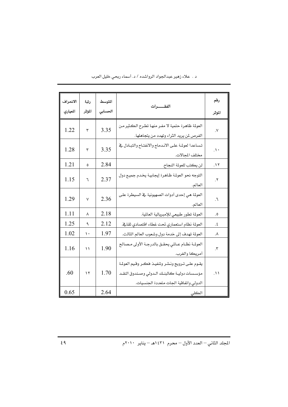| الانحراف<br>المياري | رتبة<br>المؤثر | المتوسط<br>الحسابى | الفقسسرات                                          | رقم<br>المؤثر        |
|---------------------|----------------|--------------------|----------------------------------------------------|----------------------|
|                     |                |                    |                                                    |                      |
| 1.22                | ٣              | 3.35               | العولمة ظاهرة حتمية لا مفر منها تطرح الكثير من     | $\cdot^{\vee}$       |
|                     |                |                    | الفرص لمن يريد الثراء وتهدد من يتجاهلها.           |                      |
|                     |                |                    | تساعدا لعولمة على الاندماج والانفتاح والتبادل في   |                      |
| 1.28                | ٣              | 3.35               | مختلف المجالات.                                    | $\cdot$              |
|                     |                |                    |                                                    |                      |
| 1.21                | ٥              | 2.84               | لن يكتب للعولمة النجاح.                            | ۱۲.                  |
| 1.15                |                | 2.37               | التوجه نحو العولمة ظاهرة إيجابية يخدم جميع دول     |                      |
|                     | ٦              |                    | العالم.                                            | $\cdot^{\mathsf{Y}}$ |
|                     |                |                    | العولمة هي إحدى أدوات الصهيونية في السيطرة على     |                      |
| 1.29                | ٧              | 2.36               |                                                    | $\cdot$              |
|                     |                |                    | العالم.                                            |                      |
| 1.11                | ٨              | 2.18               | العولمة تطور طبيعي للإمبريالية العالمية.           | ٥.                   |
| 1.25                | ٩              | 2.12               | العولمة نظام استعماري تحت غطاء افتصادي ثقائي.      | ٤.                   |
| 1.02                | ١.             | 1.97               | العولمة تهدف إلى خدمة دول وشعوب العالم الثالث.     | ٨.                   |
|                     |                |                    | العولمة نظام عـالمي يحقـق بالدرجـة الأولى مـصالح   |                      |
| 1.16                | $\setminus$    | 1.90               | أمريكا والغرب.                                     | $\mathcal{N}$        |
|                     |                |                    |                                                    |                      |
|                     |                |                    | يقـوم علـى تـرويج ونـشر وتنفيـذ فكـر وقـيم العولمة |                      |
| .60                 | ۱۲             | 1.70               | مؤسسات دولية كالبنك الدولي وصندوق النقد            | .11                  |
|                     |                |                    | الدولي واتفاقية الجات متعددة الجنسيات.             |                      |
| 0.65                |                | 2.64               | الكلى                                              |                      |

#### د . علاء زهير عبدالجواد الرواشده / د. أسماء ربحي خليل العرب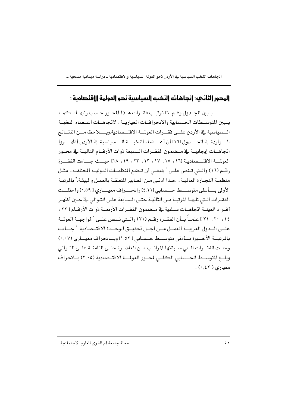### المحور الثانيي: إنحاهات النخب السياسية نحو المولمة الاقنصادية :

يبين الجـدول رقـم ٢١] ترتيـب فقــرات هــذا المحــور حـسب رتبهــا ، كمــا يبين المتوسيطات الحسمابية والانحرافيات المعياريية ، لاتجاهيات أعيضاء النخبية السسياسية في الأردن علــي فقــرات العولمــة الاقتــصادية.ويــــلاحظ مــن النتــائج السواردة في الجسدول [١٦] أن أعسضاء النخيسة السسياسية في الأردن أظهسروا اتجاهــات إيجابيــة ــفـْ مــضمون الفقــرات الــسبعة ذوات الأرقــام التاليــة ــفي محــور العولمة الاقتسصادية 171، ١٥، ١٧، ١٣، ٢٣، ١٩، ١٨] حيستُ جساءت الفقسرة رفم (١٦) والتي تـنص علـى " ينبغـى أن تـضع المنظمـات الدوليــة المختلفــة، مثـل منظمـة التجـارة العالميـة، حـدا أدنـي مـن المعـايير المتعلقـة بالعمـل والبيئـة." بالمرتبـة الأولى بسأعلى متوســـط حـــسابي 12,111 وانحــــراف معيــــاري 10,091 واحتلـــت الفقــرات الــتي تليهــا المرتبــة مــن الثانيــة حتــي الــسابعة علــي التــوالـي \_فخ حــين أظهــر أفــراد العينــة اتجاهــات ســلبية ــ2 مــضمون الفقــرات الأربعــة ذوات الأرقــام لـ ٢٢ ، ١٤، ٢٠، ٢١ ] علمــاً بــأن الفقــرة رقــم (٢١) والــتى تــنص علــى " لمواجهــة العولمــة علــي الــدول العربيـــة العمــل مــن اجــل تحقيــق الوحــدة الاقتــصادية. " جـــاءت بالمرتبسة الأخسيرة بسأدنى متوسسط حسسابي [ ١,٥٢] وبسانحراف معيساري (٠,٠٧) وحلت الفقـرات الـتي سـبقتها المراتـب مـن العاشـرة حتـى الثامنـة علـى التـوالى وبلغ المتوسيط الحسبابي الكلسي لمحبور العولمية الاقتيصادية (٢,٠٥) بسانحراف asulco (  $(3, 25)$  .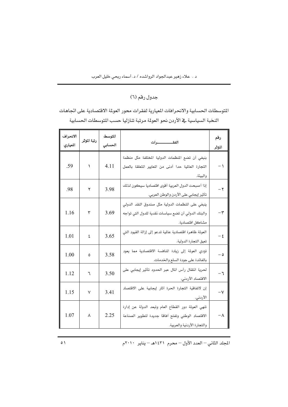#### جدول رقم (٦)

الانحراف المتوسط رقم رتبة المؤثر المعياري الحسابى المؤثر بنبغى أن تضع المنظمات الدولية المختلفة مثل منظمة .59  $\lambda$ 4.11 التجارة العالمية حدا أدنى من المعايير المتعلقة بالعمل  $-1$ والبيئة. إذا أصبحت الدول العربية أفوى افتصاديا سيكون لذلك .98  $\mathsf{Y}$ 3.98  $-\gamma$ تأثير إيجابي على الأردن والوطن العربي. ينبغي على المنظمات الدولية مثل صندوق النقد الدولي 1.16  $\mathbf{\breve{v}}$ 3.69 والبنك الدولي أن تضع سياسات نقدية للدول التي تواجه  $-\mathbf{r}$ مشاكل اقتصادية. العولمة ظاهرة افتصادية عالمية تدعو إلى إزالة القيود التي 1.01 3.65  $\mathbf{r}$  $-\xi$ تعيق التجارة الدولية. تؤدي العولمة إلى زيادة المنافسة الاقتصادية مما يعود 3.58 1.00  $-\circ$  $\circ$ بالفائدة على جودة السلع والخدمات. لحرية انتقال رأس المال عبر الحدود تأثير إيجابي على 1.12  $\mathcal{L}$ 3.50  $-7$ الاقتصاد الأردني. إن لاتفاقية التجارة الحرة آثار إيجابية على الاقتصاد 3.41  $-\mathsf{V}$ 1.15  $\vee$ الأردني. تنهى العولمة دور القطاع العام وتبعد الدولة عن إدارة 1.07  $\lambda$ 2.25  $-\Lambda$ الاقتصاد الوطنى وتفتح آفاقا جديدة لتطوير الصناعة والتجارة الأردنية والعربية.

المتوسطات الحسابية والانحرافات الميارية لفقرات محور العولة الافتصادية على اتجاهات النخبة السياسية في الأردن نحو العولمة مرتبة تنازليا حسب المتوسطات الحسابية

المجلد الثاني – العدد الأول – محرم ١٤٣١هـ – يناير ٢٠١٠م

 $\circ$  )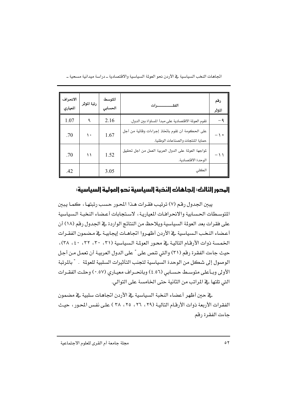|  |  |  |  |  |  |  |  |  |  | اتجاهات النخب السياسية في الأردن نحو العولمة السياسية والاقتصادية ــ دراسة ميدانية مسحية ــ |
|--|--|--|--|--|--|--|--|--|--|---------------------------------------------------------------------------------------------|
|  |  |  |  |  |  |  |  |  |  |                                                                                             |

| الانحراف<br>المياري | رتبة المؤثر | التوسط<br>الحسابى |                                                                                       | رقم<br>المؤثر |
|---------------------|-------------|-------------------|---------------------------------------------------------------------------------------|---------------|
| 1.07                | ٩           | 2.16              | تقوم العولمة الافتصادية على مبدأ المساواة بين الدول.                                  | 4 –           |
| .70                 | ۱۰          | 1.67              | على الحكومة أن تقوم باتخاذ إجراءات وقائية من أجل<br>حماية المنتجات والصناعات الوطنية. | $-1$          |
| .70                 | ۱۱          | 1.52              | لمواجهة العولمة على الدول العربية العمل من اجل تحقيق<br>الوحدة الاقتصادية.            |               |
| .42                 |             | 3.05              | الكلى                                                                                 |               |

## المحور الثالث: إنجاهات النخبة السياسية نحو المولمة السياسية:

يبين الجدول رقم (٧) ترتيب فقـرات هـذا المحـور حسب رتبتهـا ، كمـا يبين المتوسطات الحسابية والانحرافات المعيارية، لاستجابات أعضاء النخبة السياسية على فقرات بعد العولمة السياسية.ويلاحظ من النتائج الواردة في الجدول رقم (١٨) أن أعضاء النخب السياسية في الأردن أظهروا اتجاهـات إيجابيـة في مضمون الفقـرات الخمسة ذوات الأرقـام التاليـة في محـور العولمة الـسياسية (٣١، ٣٠، ٣٢، ٤٠، ٣٨)، حيث جاءت الفقرة رقم (٣١) والتي تنص على " على الدول العربيـة أن تعمل مـن أجل الوصول إلى شكل من الوحدة السياسية لتجنب التأثيرات السلبية للعولة . " بالمرتبة الأولى وبأعلى متوسط حسابي (٤,٥٦) وبانحـراف معيـاري (٠,٥٧) وحلت الفقـرات التي تلتها في المراتب من الثانية حتى الخامسة على التوالي.

يخ حين أظهر أعضاء النخبة السياسية يخ الأردن اتجاهات سلبية يخ مضمون الفقرات الأربعة ذوات الأرقـام التاليـة (٢٩ ، ٢٦ ، ٢٥ ، ٣٨ ) علـى نفس المحـور ، حيـث جاءت الفقرة رقم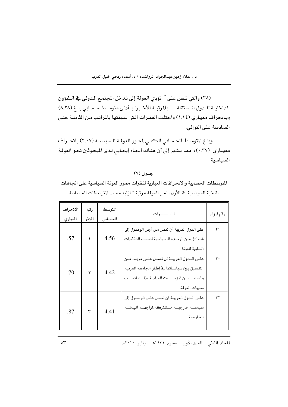(٣٨) والتي تنص على " تؤدي العولمة إلى تدخل المجتمع الدولي في الشؤون الداخليــة للـدول المستقلة . " بالمرتبــة الأخـيرة بــأدنى متوســط حـسابي بلــغ (٨.٢٨) وبـانحراف معيـاري (١,١٤) واحتلت الفقـرات الـتي سـبقتها بالمراتب مـن الثامنـة حتـى السادسة على التوالي.

وبلغ المتوسط الحسابي الكلى لمحور العولمة السياسية (٣,٤٧) بانحراف معيــاري (٠,٣٧)، ممـا يشير إلى أن هنـاك اتجـاه إيجـابي لـدي المبحـوثين نحـو العولمة السياسية.

جدول (۷)

المتوسطات الحسابية والانحرافات الميارية لفقرات محور العولة السياسية على اتجاهات النخبة السياسية في الأردن نحو العولمة مرتبة تنازليا حسب المتوسطات الحسابية

| الانحراف | رتبة   | المتوسط |                                                                                                                                                             |                        |
|----------|--------|---------|-------------------------------------------------------------------------------------------------------------------------------------------------------------|------------------------|
| المعياري | المؤثر | الحسابى | الفقــــــــــرات                                                                                                                                           | رقم المؤثر             |
| .57      |        | 4.56    | على الدول العربية أن تعمل من أجل الوصول إلى<br>شكل من الوحدة السياسية لتجنب التأثيرات<br>السلبية للعولمة.                                                   | $\mathcal{N}$          |
| .70      | ۲      | 4.42    | علمي اللدول العربية أن تعمل علمي مزيد من<br>التنسيق بين سياسـاتها في إطـار الجامعـة العربيـة<br>وغيرها مئن المؤسسات العالمية وذللك لتجنب<br>سلبيات العولمة. | $\cdot$ $\mathsf{r}$ . |
| .87      | ٣      | 4.41    | علـى الـدول العربيــة أن تعمــل علــى الوصــول إلى<br>سياســـة خارجيـــة مـــشتركة لمواجهـــة الهيمنـــة<br>الخارجية.                                       | ۲۲.                    |

المجلد الثاني – العدد الأول – محرم ١٤٣١هـ – يناير ٢٠١٠م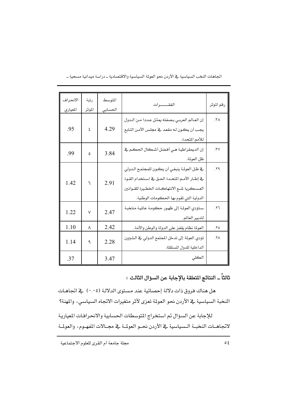| الانحراف | رتبة   | المتوسط | الفقــــــــــرات                                 | رقم المؤثر      |
|----------|--------|---------|---------------------------------------------------|-----------------|
| المعياري | المؤثر | الحسابى |                                                   |                 |
|          |        |         | إن العـالم العربـي بـصفته يمثـل عـددا مـن الـدول  | ۲۸.             |
| .95      | ٤      | 4.29    | يجب أن يكون لـه مقعد في مجلس الأمـن التـابع       |                 |
|          |        |         | للأمم المتحدة.                                    |                 |
| .99      | ٥      | 3.84    | إن الديمقراطية هـى أفضل أشكال الحكم في            | .7V             |
|          |        |         | ظل العولمة.                                       |                 |
|          |        |         | في ظل العولمة ينبغي أن يكون للمجتمع الدولي        | ۲۹.             |
| 1.42     | ٦      | 2.91    | يخ إطـار الأمـم المتحـدة الحـق يخ اسـتخدام القـوة |                 |
|          |        |         | العسكرية لمنع الانتهاكات الخطيرة للقـوانين        |                 |
|          |        |         | الدولية التي تقوم بها الحكومات الوطنية.           |                 |
| 1.22     | $\vee$ | 2.47    | ستؤدي العولمة إلى ظهور حكومة عالمية منتخبة        | ۲٦.             |
|          |        |         | لتدبير العالم.                                    |                 |
| 1.10     | ٨      | 2.42    | العولمة نظام يقفز على الدولة والوطن والأمة.       | .70             |
| 1 1 4    | ٩      | 2.28    | تؤدي العولمة إلى تدخل المجتمع الدولي في الشؤون    | .7 <sub>A</sub> |
|          |        |         | الداخلية للدول المستقلة.                          |                 |
| .37      |        | 3.47    | الكلي                                             |                 |

## ثالثاً \_ النتائج المتعلقة بالإجابة عن السؤال الثالث :

هل هناك فروق ذات دلالة إحصائية عند مستوى الدلالة (٠,٠٥) \_في اتجاهـات النخبة السياسية في الأردن نحو العولمة تعزي لأثر متغيرات الاتجاه السياسي، والمهنة؟

للإجابة عن السؤال تم استخراج المتوسطات الحسابية والانحرافات المبارية لاتجاهــات النخبــة الــسياسية ـفي الأردن نحــو العولــة ـفي مجــالات المفهــوم، والعولــة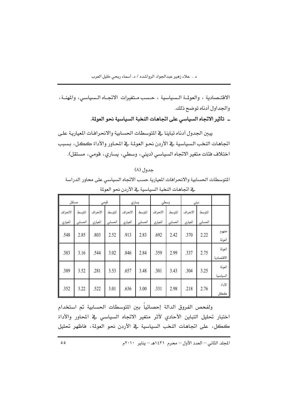الاقتـصادية ، والعولــة الـسياسية ، حـسب مـتغيرات الاتجــاه الـسياسي، والمهنــة، والجداول أدناه توضح ذلك.

#### \_ تأثير الاتجاه السياسي على اتجاهات النخبة السياسية نحو العولة.

يبين الجدول أدناه تباينا في المتوسطات الحسابية والانحرافات المعيارية على اتجاهات النخب السياسية في الأردن نحو العولمة في المحاور والأداة ككل، بسبب اختلاف فئات متغير الاتجاه السياسي (ديني، وسطى، يساري، فومي، مستقل).

جدول (۸)

المتوسطات الحسابية والانحرافات المبارية حسب الاتجاه السياسي على محاور الدراسة في اتجاهات النخبة السياسية في الأردن نحو العولمة

| مستقل    |         | قومي     |         | يساري    |         | وسطى     |         | دينى     |         |            |
|----------|---------|----------|---------|----------|---------|----------|---------|----------|---------|------------|
| الانحراف | المتوسط | الانحراف | المتوسط | الانحراف | المتوسط | الانحراف | المتوسط | الانحراف | المتوسط |            |
| المعياري | الحسابى | المعياري | الحسابى | المعياري | الحسابى | المعياري | الحسابى | المعياري | الحسابى |            |
| .548     | 2.85    | .803     | 2.52    | .913     | 2.83    | .692     | 2.42    | .370     | 2.22    | مفهوم      |
|          |         |          |         |          |         |          |         |          |         | العولمة    |
| .383     | 3.16    | .544     | 3.02    | .846     | 2.84    | .359     | 2.99    | .337     | 2.75    | العولمة    |
|          |         |          |         |          |         |          |         |          |         | الاقتصادية |
| .389     | 3.52    | .281     | 3.53    | .657     | 3.48    | .301     | 3.43    | .304     | 3.25    | العولمة    |
|          |         |          |         |          |         |          |         |          |         | السياسية   |
| .352     | 3.22    | .522     | 3.01    | .636     | 3.00    | .331     | 2.98    | .218     | 2.76    | الأداة     |
|          |         |          |         |          |         |          |         |          |         | ککل        |

ولفحص الفروق الدالة إحصائياً بين المتوسطات الحسابية تم استخدام اختبار تحليل التباين الأحادي لأثر متغير الاتجاه السياسي في المحاور والأداة ككل، على اتجاهات النخب السياسية في الأردن نحو العولمة، فاظهر تحليل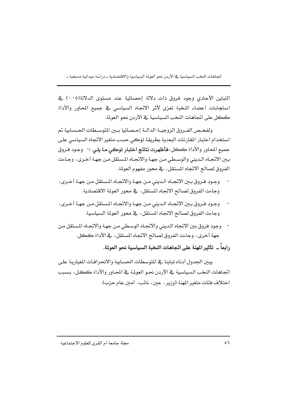التباين الأحادي وجود فروق ذات دلالة إحصائية عند مستوى الدلالة(٠٫٠٥) في استجابات أعضاء النخبة تعزى لأثر الاتجاه السياسي في جميع المحاور والأداة ككل على اتجاهات النخب السياسية في الأردن نحو العولمة.

ولفحص الفيروق الزوجيية الدالية إحصائيا ببن المتوسيطات الحسابية تم استخدام اختبار المقارنات البعدية بطريقة توكى حسب متغير الاتجاه السياسى على جميع المحاور والأداة ككل، **فأظهرت نتائج اختبار توكي مـا يلي** :- وجود فـروق بين الاتجاه الديني والوسطى من جهة والاتجاه المستقل من جهة أخرى، وجاءت الفروق لصالح الاتجاه المستقل، في محور مفهوم العولمة.

- وجود فروق بين الاتجاه الـديني مـن جهـة والاتجـاه المستقل مـن جهـة أخـرى، وجاءت الفروق لصالح الاتجاه المستقل، في محور العولم الاقتصادية.
- وجود فروق بين الاتجاه الديني من جهـة والاتجـاه المستقل مـن جهـة أخـري، وجاءت الفروق لصالح الاتجاه المستقل، ݣ محور العولمة السياسية.
- وجود هروق بين الاتجاه الديني والاتجاه الوسطى من جهة والاتجاه المستقل من جهة أخرى، وجاءت الفروق لصالح الاتجاه المستقل، ڤي الأداة ككل.

#### رابعاً \_\_ تأثير المنة على اتجاهات النخبة السياسية نحو العولة.

يبين الجدول أدناه تباينا يخ المتوسطات الحسابية والانحرافات المبارية على اتجاهات النخب السياسية في الأردن نحو العولمة في المحاور والأداة ككل، بسبب اختلاف فئات متغير المهنة (وزير ، عين، نائب، أمين عام حزب).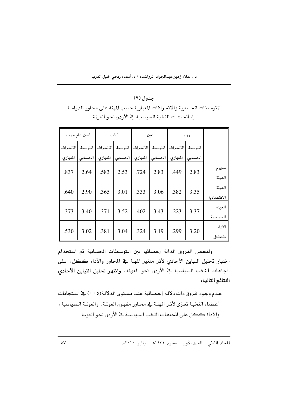| جدول (۹)                                                             |  |  |  |  |  |  |  |
|----------------------------------------------------------------------|--|--|--|--|--|--|--|
| المتوسطات الحسابية والانحرافات الميارية حسب المهنة على محاور الدراسة |  |  |  |  |  |  |  |
| يخ اتجاهات النخبة السياسية يخ الأردن نحو العولمة                     |  |  |  |  |  |  |  |
|                                                                      |  |  |  |  |  |  |  |

| أمين عام حزب |         | نائب     |         | عين                |         | وزير               |         |            |
|--------------|---------|----------|---------|--------------------|---------|--------------------|---------|------------|
| الانحراف     | المتوسط | الانحراف | المتوسط | الانحراف           | المتوسط | الانحراف           | المتوسط |            |
| المعياري     | الحسابى | المعياري |         | المعياري   الحسابي |         | المعيارى   الحسابي | الحسابى |            |
| .837         | 2.64    | .583     | 2.53    | .724               | 2.83    | .449               | 2.83    | مفهوم      |
|              |         |          |         |                    |         |                    |         | العولمة    |
| .640         | 2.90    | .365     | 3.01    | .333               | 3.06    | .382               | 3.35    | العولمة    |
|              |         |          |         |                    |         |                    |         | الاقتصادية |
| .373         | 3.40    | .371     | 3.52    | .402               | 3.43    | .223               | 3.37    | العولمة    |
|              |         |          |         |                    |         |                    |         | السياسية   |
| .530         | 3.02    | .381     | 3.04    | .324               | 3.19    | .299               | 3.20    | الأداة     |
|              |         |          |         |                    |         |                    |         | ڪڪل .      |

ولفحص الفروق الدالة إحصائيا بين المتوسطات الحسابية تم استخدام اختبار تحليل التباين الأحادي لأثر متغير المهنة في المحاور والأداة ككل، على اتجاهات النخب السياسية في الأردن نحو العولمة، **واظهر تحليل التباين الأحادي** النتائج التالية:

– عدم وجود هـروق ذات دلالـة إحصائية عنـد مـستوى الدلالـة(٠,٠٥) ﴾ اسـتجابات أعضاء النخبـة تعـزي لأثـر المهنـة ـ2 محـاور مفهـوم العولـة ، والعولـة الـسياسية ، والأداة ككل على اتجاهات النخب السياسية في الأردن نحو العولمة.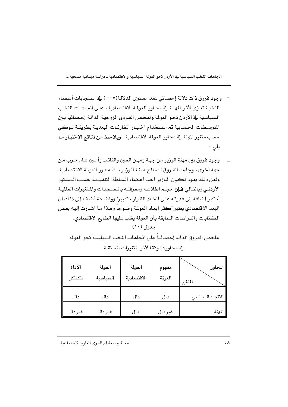- وجود فروق ذات دلالة إحصائي عند مستوى الدلالـة(٠,٠٥) ﴾ استجابات أعضاء النخبة تعـزي لأثـر المهنـة في محـاور العولمة الاقتـصادية ، علـي اتجاهـات النخب السياسية في الأردن نحـو العولمة.ولفحـص الفـروق الزوجيـة الدالـة إحـصائيا بـين المتوسيطات الحسابية تم استخدام اختبـار المقارنـات البعديـة بطريقـة تـوكي حسب متغير المهنة في محاور العولمة الاقتصادية ، **ويلاحظ من نتائج الاختبار مـا** يلى :
- وجود فروق بين مهنة الوزير من جهـة ومهـن العـين والنـائب وأمـين عـام حـزب مـن جهة أخرى، وجاءت الفـروق لـصالح مهنـة الـوزير ، في محـور العولمة الافتـصادية. ولعل ذلك يعود لكون الوزير أحد أعضاء السلطة التنفيذية حسب الدستور الأردني وبالتالي فإن حجم اطلاعه ومعرفته بالمستجدات والمتغيرات العالمية أكبر إضافة إلى قدرته على اتخاذ القرار كبيرة وواضحة أضف إلى ذلك أن البعد الاقتصادي يعتبر أكثر أبعاد العولمة وضوحا وهذا ما أشارت إليه بعض الكتابات والدراسات السابقة بأن العولمة يغلب عليها الطابع الافتصادي.  $(1 \cdot)$  حدول

ملخص الفروق الدالة إحصائياً على اتجاهات النخب السياسية نحو العولمة يخ محاورها وفقا لأثر المتغيرات المستقلة

| الأداة<br>ڪڪل | العولة<br>السياسية | العولة<br>الاقتصادية | مفهوم<br>العولة | المحاور<br>المتغير |
|---------------|--------------------|----------------------|-----------------|--------------------|
| دال           | دال                | دال                  | دال             | الاتجاه السياسي    |
| غير دال       | غير دال            | دال                  | غير دال         | المهنة             |

مجلة جامعة أم القرى للعلوم الاجتماعية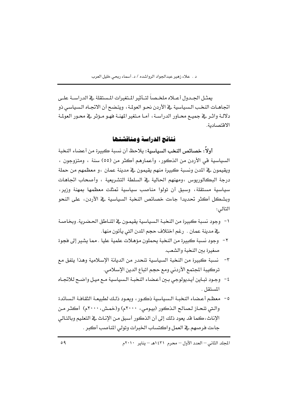يمثـل الجـدول أعــلاه ملخـصا لتـأثير المـتغيرات المستقلة في الدراسـة علـي اتجاهـات النخب الـسياسية في الأردن نحـو العولمة ، ويتـضـح أن الاتجـاء الـسياسـي ذو دلالـة واثـر \_في جميــع محــاور الدراســة ، أمــا مـتغير المهنــة فهـو مــؤثر \_في محــور الـعولــة الاقتصادية.

#### نتائج الدراسة ومناقشتها

**أولاً: خصائص النخب السياسية:** يلاحظ أن نسبة كبيرة من أعضاء النخبة السياسية في الأردن من الذكور ، وأعمارهم أكثر من (٥٥) سنة ، ومتزوجون ، ويقيمون في المدن ونسبة كبيرة منهم يقيمون في مدينة عمان ،و معظمهم من حملة درجة البكالوريوس ،ومهنهم الحالية في السلطة التشريعية ، وأصحاب اتجاهات سياسية مستقلة، وسبق أن تولوا مناصب سياسية تمثلت معظمها بمهنة وزير، وبشكل أكثر تحديدا جاءت خصائص النخبة السياسية في الأردن، على النحو التالي:

- ١- وجود نسبة كبيرة من النخبـة السياسية يقيمـون في المنـاطق الحـضرية. وبخـاصـة <u>ي</u>ّ مدينة عمان . رغم اختلاف حجم المدن التي يأتون منها.
- ٢- وجود نسبة كبيرة من النخبة يحملون مؤهلات علمية عليا . مما يشير إلى فجوة صغيرة بىن النخبة والشعب.
- ٣- نسبة كبيرة من النخبة السياسية تنحدر من الديانة الإسلامية وهذا يتفق مع تركيبة المجتمع الأردني ومع حجم اتباع الدين الإسلامي.
- ٤- وجود تباين أيديولوجي بين أعضاء النخبة السياسية مـع ميل واضـح للاتجـاه المستقل .
- ٥- معظـم أعـضاء النخبـة الـسياسية ذكـور ، ويعـود ذلـك لطبيعـة الثقافـة الـسائدة والتي تنحـاز لـصالح الـذكور (بيـومي، ٢٠٠٠م) و(خمـش، ٢٠٠٠م) أكثـر مـن الإناث، كما قد يعود ذلك إلى أن الذكور أسبق من الإنـاتْ في التعليم وبالتـالي جاءت فرصهم في العمل واكتساب الخبرات وتولى المناصب أكبر .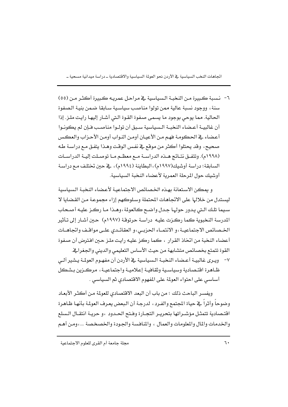٦- [نسبة كبيرة من النخبة السياسية في مراحل عمريه كبيرة أكثر من (٥٥) سنة، ووجود نسبة عالية ممن تولوا مناصب سياسية سـابقا ضمن بنيـة الـصفوة الحالية. مما يوحي بوجود ما يسمى صفوة القوة التي أشار إليها رايت ملز. إذا أن غالبيــة أعـضاء النخبــة الـسياسية سـبق أن تولــوا مناصـب فــإن لم يكونــوا أعضاء في الحكومة فهم من الأعيان أومن النواب أومن الأحزاب والعكس صحيح، وقد يحتلوا أكثر من موقع في نفس الوقت وهـذا يتفـق مـع دراسـة طـه (١٩٩٨م). وتتفــق نتــائج هــذه الدراســة مــع معظـم مــا توصـلت إليــة الدراســات السابقة؛ دراسة أوشيك(١٩٩٧م)، البطاينة (١٩٩٤م)، ٤ حين تختلف مـع دراسـة أوشيك حول المرحلة العمرية لأعضاء النخبة السياسية.

و يمكن الاستعانة بهذه الخصائص الاجتماعية لأعضاء النخبة السياسية ليستدل من خلالها على الاتجاهات المحتملة وسلوكهم إزاء مجموعة من القضايا لا سيها تلك التي يدور حولها جدل واضح كالعولمة،وهـذا مـا ركـز عليـه أصـحاب المدرسة النخبوية كما ركـزت عليـه دراسـة حرتوقـة (١٩٩٧م) حـبن أشـار إلى تـأثير الخـصائص الاجتماعيـة،و الانتمـاء الحزبـى،و العقائـدي علـى مواقـف واتجاهـات أعضاء النخبة من اتخاذ القرار ، كما ركز عليه رايت ملـز حـين افـترض أن صـفوة القوة تتمتع بخصائص متشابهة من حيث الأساس التعليمي والديني والجغراية. ٧- ويـرى غالبيـة أعـضاء النخبـة الـسياسية ـ2 الأردن أن مفهـوم العولمة يـشير آلـي ظـاهـرة افتـصادية وسياسـية وثقافيـة إعلاميـة واجتماعيـة، مركـزين بـشكل

أساسي على احتواء العولمة على المفهوم الافتصادي ثم السياسي .

ويفسر الباحث ذلك ؛ من باب أن البعد الافتصادي للعولمة من أكثر الأبعاد وضوحاً وأثراً في حياة المجتمع والفـرد ، لدرجـة أن البعض يعـرف العولمة بأنهـا ظـاهـرة افتصادية تتمثل مؤشـراتها بتحريـر التجـارة وفـتح الحـدود ،و حريـة انتقـال الـسلع والخدمات والمال والمعلومات والعمال ، والمناهسة والجودة والخصخصة …،ومن أهـم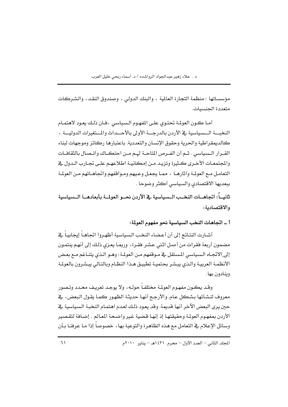مؤسساتها : منظمة التجارة العالمية ، والبنك الدولي ، وصندوق النقد، والشركات متعددة الحنسيات.

أمـا كـون العولــة تحتـوي علـى المفهـوم الـسياسـي ، فـان ذلـك يعـود لاهتمـام النخبسة السسياسية في الأردن بالدرجسة الأولى بالأحسدات والمستغيرات الدوليسة ، كالديمقراطية والحرية وحقوق الإنسان والتعددية. باعتبارها ركائز وموجهات لبناء القــرار الــسياسـي . ثــم أن الفــرص المتاحــة لهــم مــن احتكــاك واتــصال بالثقافــات والمجتمعـات الأخـري كــثيرة وتزيـد مـن إمكـانيـة اطـلاعهـم علـي تجـارب الـدول فج التعامل مع العولمة وآثارهـا ، ممـا يجعـل وعـيهم ومـواقفهم واتجاهـاتهم مـن العولمة ببعديها الاقتصادي والسياسي أكثر وضوحا .

## ثانيــاً : اتجاهــات النخــب الــسياسية ــِـة الأردن نحــو العولمــة بأبعادهـــا الــسياسية والاقتصادية:

#### ٱ \_ اتجاهات النخب السياسية نحو مفهوم العولمة:

أشـارت النتـائج إلى أن أعـضاء النخب الـسياسية أظهـروا اتجاهـاً إيجابيـاً \_في مضمون أربعة فقرات من أصل اثني عشر فقرة، وربمـا يعـزي ذلك إلى أنهـم ينتمـون إلى الاتجـاه الـسياسـي المستقل في مـوقفهم مـن العولمـة: وهـو الـذي يتنـاغم مـع بعـض الأنظمة العربية والـذي يبشر بحتمية تطبيق هـذا النظـام وبالتـالي يبشرون بالعولمة وبنادون بها.

وقد يكون مفهوم العولمة مختلفـاً حولـه، ولا يوجـد تعريـف محـدد وتـصور معروف لنشأتها بشكل عـام. والأرجـح أنهـا حديثـة الظهـور كـمـا يقـول الـبعض، \_في حين يرى البعض الآخر أنها قديمة. وقد يعود ذلك لعدم اهتمـام النخبـة الـسياسية \_في الأردن بمفهـوم العولمة وحقيقتهـا إذ إنهـا فـضية غير واضـحة المعـالم . إضـافة لتقـصير وسائل الإعلام في التعامل مع هذه الظاهرة والتوعية بها ، خصوصاً إذا مـا عرفنـا بـأن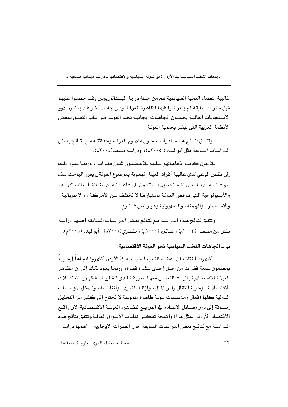غالبية أعضاء النخبة السياسية هم من حملة درجة البكالوريوس وقد حصلوا عليها قبل سنوات سابقة لم يتعرضوا فيها لظاهرة العولمة. ومن جانب آخر قد يكون ذوو الاستجابات العالية يحملون اتجاهات إيجابية نحو العولمة من باب التملق لبعض الأنظمة العربية التي تبشر بحتمية العولمة

وتتفـق نتـائج هـذه الدراسـة حـول مفهـوم العولمة وحداثتـه مـع نتـائج بعـض الدراسات السابقة مثل أبو ليده ( ٢٠٠٥م)، ودراسة مسعد(٢٠٠٤م).

<u>ب</u>خ حين ڪانت اتجاهـاتهم سلبيه بج مـضمون شـان فقـرات ، وربمـا يعـود ذلـك إلى نقص الوعي لدى غالبية أفراد العينة المبحوثة بموضوع العولمة. ويعزو الباحث هذه المواقـف مـن بـاب أن المستجيبين يـستندون إلى قاعـدة مـن المنطلقـات الفكريـة ، والأيديولوجية التي ترفض العولمة باعتبارهـا لا تختلف عـن الأمركــة، والإمبرياليـة، والاستعمار، والهيمنة، والصهيونية وهو رفض فكرى.

وتتفق نتائج هـذه الدراسـة مـع نتـائج بعـض الدراسـات الـسابقة أهمهـا دراسـة كل من مسعد (٢٠٠٤م)، عنانزه (٢٠٠٠م)، كفري(٢٠٠١م)، أبو لبده (٢٠٠٥م).

#### ب ــ اتجاهات النخب السياسية نحو العولم الاقتصادية:

أظهرت النتائج أن أعضاء النخبة السياسية في الأردن أظهروا اتجاها إيجابيا بمضمون سبعة فقرات من أصل إحدى عشرة فقـرة، وربمـا يعـود ذلك إلى أن مظـاهـر العولمة الاقتصادية وآليات التعامل معها معروفة لدى الغالبية، فظهور التكتلات الاقتصادية، وحرية انتقال رأس المال، وإزالـة القيـود، والمنافسـة، وتـدخل المؤسسـات الدولية كلها أفعال ومؤسسات عولمة ظاهرة ملموسة لا تحتاج إلى كثير من التحليل إضـافة إلى دور وســائل الإعــلام في الترويــج لظــاهـرة العولمـة الافتــصادية. لان واقــع الافتصاد الأردني يمثل مرآة واضحة تعكس تقلبات الأسواق العالمية وتتفق نتائج هذه الدراسـة مـع نتائــج بعض الدراسات السابقة حول الفقرات الإيجابية — أهمها دراسة ؛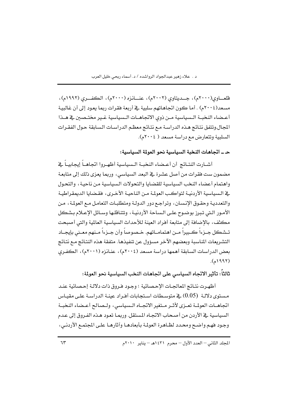قلعـــاوي(٢٠٠٠م)، جـــديتاوي (٢٠٠٢م)، عنـــانزه (٢٠٠٠م)، الكفـــري (١٩٩٢م)، مسعد(٢٠٠٤م) . أما كون اتجاهاتهم سلبية في أربعة فقرات ربما يعود إلى أن غالبية أعـضاء النخبـة الـسياسية مـن ذوى الاتجاهـات الـسياسية غـير مختـصين في هـذا المجال وتتفق نتائج هـذه الدراسـة مـع نتـائج معظـم الدراسـات السابقة حـول الفقـرات السلبية وتتعارض مع دراسة مسعد ( ٢٠٠٤م).

#### حـ ــ اتجاهات النخبة السياسية نحو العولمة السياسية:

أشــارت النتــائـج أن أعــضاء النـخبــة الــسياسية أظهــروا اتجـاهــاً إيجـابيــاً ــِجـْ مضمون ست فقرات من أصل عشرة ڤي البعد السياسي، وربما يعزي ذلك إلى متابعة واهتمام أعضاء النخب السياسية للقضايا والتحولات السياسية من ناحية، والتحول يخ السياسية الأردنيـة لتواكـب العولمة مـن الناحيـة الأخـري، فقـضايا الديمقراطيـة والتعدديـة وحقـوق الإنسـان، وتراجـع دور الدولـة ومتطلبـات التعامـل مـع العولمـة، مـن الأمـور الـتي تـبرز بوضـوح علـي الـساحة الأردنيـة، وتتناقلـها وسـائل الإعـلام بـشكل مكثف، بالإضافة إلى متابعة أفراد العينة للأحداث السياسية العالمية والتي أصبحت تـشڪل جـزءاً ڪـبيراً مـن اهتمامـاتهم. خـصوصاً وأن جـزءاً مـنهم معـني بإيجـاد التشريعات الماسبة وبعضهم الآخر مسؤول عن تنفيذها. متفقة هذه النتائج مع نتائج بعض الدراسات السابقة أهمها دراسة مسعد (٢٠٠٤م)، عنـانزه (٢٠٠١م)، الكفـري  $(1991)$ 

## ثالثاً : تأثير الاتجاه السيا*سي* على اتجاهات النخب السياسية نحو العولة:

أظهرت نتـائج المعالجـات الإحـصائية ؛ وجـود فـروق ذات دلالـة إحـصائية عنـد مستوى دلالة (0.05) في متوسطات استجابات أفراد عينـة الدراسـة علـى مقيـاس اتجاهـات العولمة تعـزي لأثـر مـتغير الاتجـاه الـسياسي، ولـصالح أعـضاء النخبـة السياسية في الأردن من أصحاب الاتجاه المستقل. وربمـا تعود هـذه الفـروق إلى عـدم وجود فهم واضح ومحدد لظاهرة العولمة بأبعادهـا وآثارهـا علـى المجتمـع الأردنـي،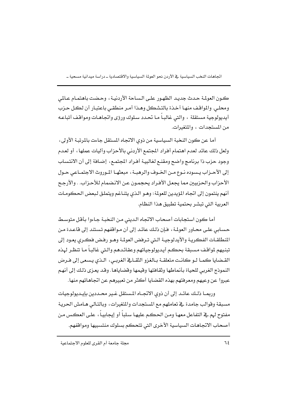كون العولمة حدث جديد الظهور على الساحة الأردنية، وحضت باهتمـام عـالمي ومحلي. والمواقف منها آخذة بالتشكل وهذا أمر منطقي باعتبار أن لكل حزب أيديولوجية مستقلة ، والتي غالبـا مـا تحـدد سلوك ورؤى واتجاهـات ومواقف أتباعـه من المستحدات ، والمتغيرات.

أما عن كون النخبة السياسية من ذوى الاتجاه المستقل جاءت بالمرتبة الأولى، ولعل ذلك عائد لعدم اهتمام أفراد المجتمع الأردني بالأحزاب وآليات عملها ، أو لعدم وجود حزب ذا برنامج واضح ومقنع لغالبية أفراد المجتمع، إضافة إلى أن الانتساب إلى الأحـزاب يـسوده نـوع مـن الخـوف والرهبـة، مبعثهـا المـوروث الاجتمـاعـي حـول الأحزاب والحزبيين مما يجعل الأفراد يحجمون عن الانضمام للأحزاب. . والأرجح أنهم ينتمون إلى اتجاه المؤيدين للعولمة: وهـو الـذي يتنـاغم ويتملق لـبعض الحكومـات العربية التي تبشر بحتمية تطبيق هذا النظام.

أما كون استجابات أصحاب الاتجاه الديني من النخبة جاءوا بأقل متوسط حسابي على محـاور العولمة ، فـإن ذلك عائـد إلى أن مـواقفهم تستند إلى قاعـدة مـن المنطلقــات الفكريــة والأيدلوجيــة الـتى تــرفض العولــة وهــو رفـض فكــرى يعــود إلى تبنيهم لمواقف مسبقة بحكم أيديولوجياتهم وعقائدهم والتي غالبا ما تنظر لهذه القـضايا كمـا لـو كانـت متعلقــة بـالغزو الثقـاـڤي الغربـي، الـذي يـسعي إلى فـرض النموذج الغربي للحياة بأنماطها وثقافتها وقيمها وقضاياها. وقد يعزى ذلك إلى أنهم عبروا عن وعيهم ومعرفتهم بهذه القضايا أكثر من تعبيرهم عن اتجاهاتهم منها.

وربمـا ذلـك عائـد إلى أن ذوى الاتجـاه المستقل غـير محـددين بإيـديولوجيات مسبقة وقوالب جامدة فج تعاملهم مع المستجدات والمتغيرات، وبالتـالي هـامش الحربية مفتوح لهم في التفاعل معهـا ومـن الحكـم عليهـا سـلبـاً أو إيجـابيـاً ، علـى العكس مـن أصحاب الاتجاهات السياسية الأخرى التي تتحكم بسلوك منتسبيها ومواففهم.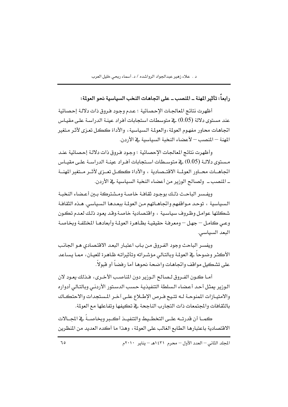#### رابعاً: تأثير المهنة ــ النصب ــ على اتجاهات النخب السياسية نحو العولة:

أظهرت نتائج المعالجات الإحصائية ؛ عدم وجود فروق ذات دلالة إحصائية عند مستوى دلالة (0.05) ـ2 متوسطات استجابات أفراد عينـة الدراسـة علـى مقيـاس اتجاهات محاور مفهوم العولمة،والعولمة السياسية، والأداة ككل تعـزي لأثـر متغير المهنة – المنصب – لأعضاء النخبة السياسية في الأردن.

وأظهرت نتائج المعالجات الإحصائية ؛ وجود فـروق ذات دلالـة إحصائية عنـد مستوى دلالـة (0.05) في متوسـطات اسـتجابات أفـراد عينـة الدراسـة علـى مقيـاس اتجاهــات محــاور العولمــة الافتــصادية ، والأداة ككـــل تعــزي لأثــر مــتغير المهنــة ــ المنصب ــ ولصالح الوزير من أعضاء النخبة السياسية ـ2ْ الأردن.

وبفسر الباحث ذلك بوجود ثقافة خاصة ومشتركة بين أعضاء النخبة السياسية ، توحد مواقفهم واتجاهـاتهم مـن العولمة ببعـدهـا الـسياسـي. هـذه الثقافـة شكلتها عوامل وظروف سياسية ، واقتصادية خاصة وقد يعود ذلك لعدم تكون وعيى كامل – جهل – ومعرفة حقيقية بظـاهرة العولمة وأبعادهـا المختلفـة وبخاصـة البعد السياسي.

ويفسر الباحث وجود الفروق من باب اعتبار البعد الاقتصادي هـو الجانب الأكثر وضوحاً في العولمة وبالتـالي مؤشـراته وتأثيراتـه ظـاهـرة للعيـان، ممـا يسـاعد على تشكيل مواقف واتجاهات واضحة نحوها أما رفضاً أو قبولاً.

أمـا كــون الفــروق لــصـالـح الــوزير دون المناصـب الأخــري، هــذلك يعــود لان الوزير يمثل أحد أعضاء السلطة التنفيذية حسب الدستور الأردني وبالتالي أدواره والامتيـازات المنوحـة لـه تتـيح فـرص الإطـلاع علـى آخـر المستجدات والاحتكـاك بالثقافات والمجتمعات ذات التجارب الناجحة في تكيفها وتفاعلها مع العولمة.

كمبا أن قدرتيه عليي التخطيط والتنفييذ أكبير وبخاصيةً في المجيالات الاقتصادية باعتبارها الطابع الغالب على العولمة ، وهذا ما أكده العديد من المنظرين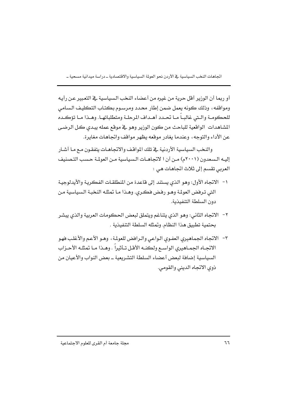أو ربما أن الوزير أقل حرية من غيره من أعضاء النخب السياسية في التعبير عن رأيه ومواقفه، وذلك كونه يعمل ضمن إطار محدد ومرسوم بكتاب التكليف السامي للحكومــة والــتى غالبــاً مــا تحــدد أهــداف المرحلــة ومتطلباتهــا. وهــذا مــا تؤكــده المشاهدات الواقعية للباحث من كون الوزير وهو ڤي موقع عمله يبدى كل الرضى عن الأداء والتوجه، وعندما يغادر موقعه يظهر مواقف واتجاهات مغايرة.

والنخب السياسية الأردنية يخ تلك المواقف والاتجاهـات يتفقـون مـع مـا أشـار إليـه الـسعدون (٢٠٠١م) مـن أن ا لاتجاهـات الـسياسية مـن العولمة حسب التـصنيف العربي تقسم إلى ثلاث اتجاهات هي :

- ١- الاتجاه الأول: وهو الذي يستند إلى قاعدة من المنطلقـات الفكـريـة والأيدلوجيـة التي ترفض العولمة وهـو رفض فكـري. وهـذا مـا تمثلـه النخبـة السياسية مـن دون السلطة التنفيذية.
- ٢- الاتجاه الثاني: وهو الذي يتناغم ويتملق لبعض الحكومات العربية والذي يبشر بحتمية تطبيق هذا النظام. وتمثله السلطة التنفيذية .
- ٣- الاتجاه الجماهيري العفـوي الـواعي والـرافض للعولمة، وهـو الأعـم والأغلب فهـو الاتجـاه الجمـاهيري الواسـع ولكنـه الأقـل تـأثيراً . وهـذا مـا تمثلـه الأحـزاب السياسية إضافة لبعض أعضاء السلطة التشريعية ــ بعض النواب والأعيان من ذوى الاتجاه الديني والقومي.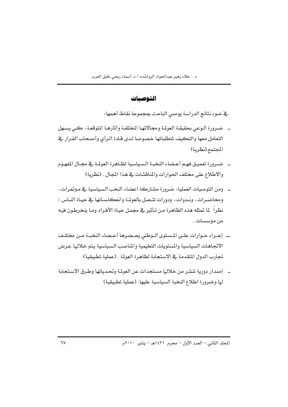#### التوصيات

يخ ضوء نتائج الدراسة يوصى الباحث بمجموعة نقاط أهمها:

- \_\_ ضرورة الوعي بحقيقة العولمة ومجالاتها المختلفة وآثارهـا المتوقعـة ، كـي يسهل التعامل معها والتكيف لمتطلباتها خصوصا لدى قادة الرأى وأصحاب القرار يخ المجتمع (نظرية)
- ــــ ضـرورة تعميـق فهـم أعـضاء النخبـة الـسياسية لظـاهـرة العولـة في مجـال المفهـوم والاطلاع على مختلف الحوارات والمناقشات في هذا المجال . (نظرية)
- ـــ ومن التوصيات العملية: ضرورة مشاركة أعضاء النخب السياسية في مؤتمرات، ومحاضيرات، ونبدوات، ودورات تتصل بالعولمة وانعكاسياتها فج حيباة النباس ؛ نظراً لما تمثله هذه الظاهرة من تـأثير في مجمل حيـاة الأفـراد ومـا ينخرطون فيـه من مؤسسات .
- ــــ إجــراء حــوارات علــى المــستوى الــوطني يحــضرهـا أعــضاء النخبــة مــن مختلــف الاتجاهات السياسية والمستويات التعليمية والمناصب السياسية يتم خلالها عرض تجارب الدول المتقدمة في الاستجابة لظاهرة العولمة . (عملية تطبيقية)
- \_ \_ إصدار دورية تنشر من خلالها مستجدات عن العولمة وتحدياتها وطرق الاستجابة لها وضرورة اطلاع النخبة السياسية عليها. (عملية تطبيقية)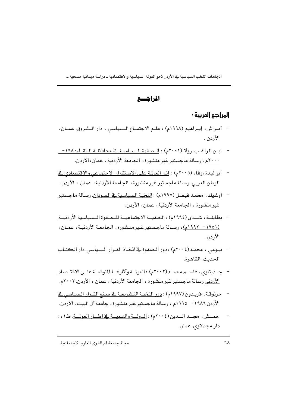#### الجراحسح

#### المراجع العربية :

- أبـراش، إبـراهيم (١٩٩٨م) : <u>علـم الاجتمـاع الـسياسـي</u>. دار الـشروق. عمـان، الأردن .
- ابـن الراغـب،رولا (٢٠٠١م) : الـصفوة الـسياسية في محافظـة البلقـاء١٩٨٠ -<u>٢٠٠٠م</u>، رسالة ماجستير غير منشورة، الجامعة الأردنية، عمان،الأردن.
- أبو لبدة،وفاء (٢٠٠٥م) : إثر العولمة على الاستقرار الاجتماعي والاقتصادي في <u>الوطن العرب</u>ي. رسالة ماجستير غير منشورة، الجامعة الأردنية، عمان ، الأردن.
- أوشيك، محمد فيصل (١٩٩٧م) : <u>ا</u>لنخية السياسية في السودان. رسـالة ماجستير غير منشورة ، الجامعة الأردنية، عمان، الأردن.
- بطاينية، شيدي (١٩٩٤م) : الخلفيية الاجتماعيية للبصفوة البسياسية الأردنيية <u>(١٩٥١- ١٩٩٢م)</u>، رسـالة ماجـستير غـير منـشورة، الجامعـة الأردنيـة، عمـان، الأردن.
- بيـومي ، محمـد(٢٠٠٤م) : <u>دور الـصفوة في اتخـاذ القـرار الـسياس</u>ي. دار الكتـاب الحديث. القاهرة.
- جديتاوى، فاسم محمد(٢٠٠٢م) : العولمة وآثارهــا المتوقعــة علــى الافتــصاد <u>الأردني</u> رسالة ماجستير غير منشورة ، الجامعة الأردنية ، عمان ، الأردن. ٢٠٠٢م.
- حرتوقـة، فريـدون (١٩٩٧م) : دور النخبـة التشريعية في صنع القـرار الـسياسي في الأردن ١٩٨٩– ١٩٩٥م ، رسالة ماجستير غير منشورة، جامعة آل البيت، الأردن.
- خمش، مجـد الــدين (٢٠٠٤م) : الدولــة والتنميــة في إطــار العولمــة. ط١، : دار مجدلاوي. عمان.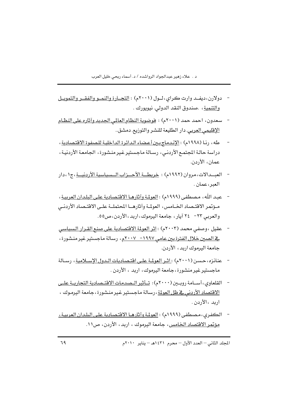- دولارن، ديفيد وارت كراي، ليول (٢٠٠١م) : التحيارة والنعبو والفقير والتعوييل والتنمية، .صندوق النقد الدولي. نيويورك .
- سعدون، احمد حمد (٢٠٠١م) : <u>فوضوية النظام العالمي الجديد وآثاره على النظام</u> الاقليمي العربي. دار الطليعة للنشر والتوزيع. دمشق..
- طه، رنا (١٩٩٨م) : الإندماج بين أعضاء الدائرة الداخلية للصفوة الاقتصادية ، دراسة حالة المجتمع الأردني، رسـالة ماجستير غير منشورة، الجامعـة الأردنيـة، عمان، الأردن.
- العبـدالات،مروان (١٩٩٢م) : <u>خريطــة الأحــزاب الــسياسية الأردنيــة</u>،ج١،دار العبر، عمان .
- عبد الله، مصطفى (١٩٩٩م) : <u>العولمة وآثارهـا الاقتصادية على البلدان العربيـ</u>ة، مؤتمر الاقتصاد الخـامس، العولمة وآثارهـا المحتملـة علـى الاقتـصاد الأردنـى والعربي ٢٣ - ٢٤ آيار ، جامعة اليرموك، اربد ، الأردن، ص٥٥.
- عقيل ، وصفى محمد (٢٠٠٣م) : إثر العولمة الاقتصادية على صنع القرار السياسي <u>يخ الصين خلال الفترة بين عامي ١٩٩٧ - ٢٠٠٧م</u>، رسالة ماجستير غير منشورة، جامعة اليرموك اربد ، الأردن.
- عنانزه، حسن (٢٠٠١م) : اثر العولمة على اقتصاديات الدول الاسلامية، رسالة ماجستير غير منشورة، جامعة اليرموك، اربد ، الأردن .
- القلعاوي، أسـامة روبـين (٢٠٠٠م): تَـأَثِير الـصدمات الاقتـصادية التجاريـة علـي <u>الاقتصاد الأردني في ظل العولمة</u>، رسالة ماجستير غير منشورة، جامعة اليرموك ، ارىد ، الأردن .
- الكفري، مصطفى (١٩٩٩م) : العولمة وآثارهـا الاقتصادية على البلدان العربيـة، <u>مؤتمر الاقتصاد الخامس</u>، جامعة اليرموك ، اريد ، الأردن، ص١١.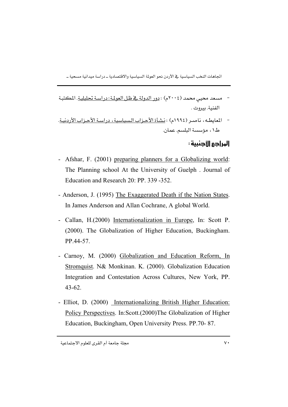- مسعد محيى محمد (٢٠٠٤م) : دور الدولة في ظل العولمة: در اسبة تحليلية. المكتبة الفنية. بيروت .
- المعايطه، ناصر (١٩٩٤م) : <u>نشأة الأحزاب السياسية، دراسة الأحزاب الأردنية</u>. ط ١، مؤسسة البلسم. عمان.

## المراجع الأجنبية :

- Afshar, F. (2001) preparing planners for a Globalizing world: The Planning school At the University of Guelph. Journal of Education and Research 20: PP. 339 -352.
- Anderson, J. (1995) The Exaggerated Death if the Nation States. In James Anderson and Allan Cochrane, A global World.
- Callan, H. (2000) Internationalization in Europe, In: Scott P. (2000). The Globalization of Higher Education, Buckingham. PP.44-57.
- Carnoy, M. (2000) Globalization and Education Reform, In Stromquist. N& Monkinan. K. (2000). Globalization Education Integration and Contestation Across Cultures, New York, PP.  $43-62.$
- Elliot, D. (2000) Internationalizing British Higher Education: Policy Perspectives. In:Scott.(2000)The Globalization of Higher Education, Buckingham, Open University Press. PP.70-87.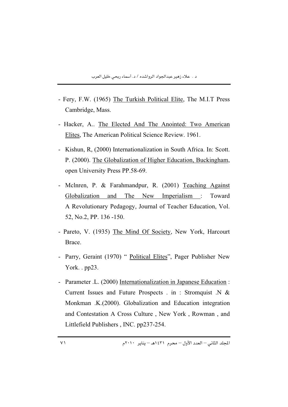- Fery, F.W. (1965) The Turkish Political Elite, The M.I.T Press Cambridge, Mass.
- Hacker, A.. The Elected And The Anointed: Two American Elites, The American Political Science Review. 1961.
- Kishun, R, (2000) Internationalization in South Africa. In: Scott. P. (2000). The Globalization of Higher Education, Buckingham, open University Press PP.58-69.
- McInren, P. & Farahmandpur, R. (2001) Teaching Against Globalization and The New Imperialism : Toward A Revolutionary Pedagogy, Journal of Teacher Education, Vol. 52, No.2, PP. 136 -150.
- Pareto, V. (1935) The Mind Of Society, New York, Harcourt Brace.
- Parry, Geraint (1970) " Political Elites", Pager Publisher New York. . pp23.
- Parameter .L. (2000) Internationalization in Japanese Education : Current Issues and Future Prospects . in: Stromquist .N & Monkman .K.(2000). Globalization and Education integration and Contestation A Cross Culture, New York, Rowman, and Littlefield Publishers, INC. pp237-254.